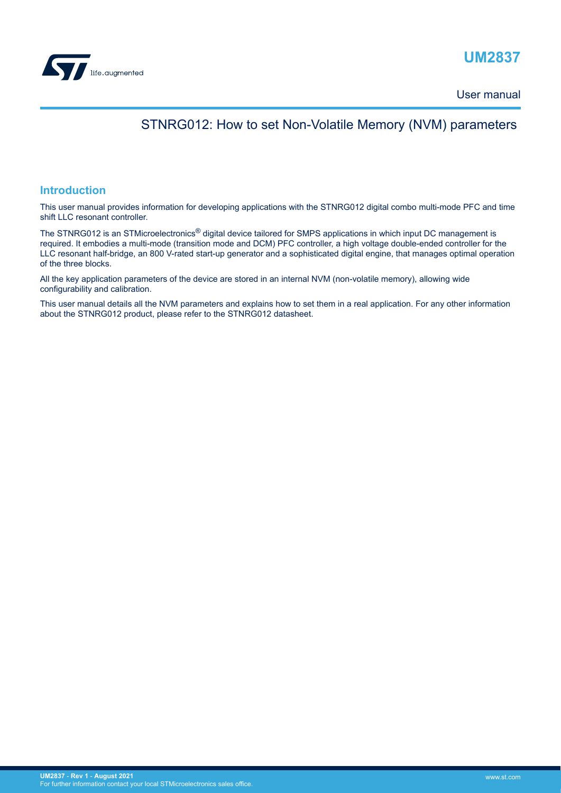

# **UM2837**

User manual

# STNRG012: How to set Non-Volatile Memory (NVM) parameters

# **Introduction**

This user manual provides information for developing applications with the STNRG012 digital combo multi-mode PFC and time shift LLC resonant controller.

The STNRG012 is an STMicroelectronics<sup>®</sup> digital device tailored for SMPS applications in which input DC management is required. It embodies a multi-mode (transition mode and DCM) PFC controller, a high voltage double-ended controller for the LLC resonant half-bridge, an 800 V-rated start-up generator and a sophisticated digital engine, that manages optimal operation of the three blocks.

All the key application parameters of the device are stored in an internal NVM (non-volatile memory), allowing wide configurability and calibration.

This user manual details all the NVM parameters and explains how to set them in a real application. For any other information about the STNRG012 product, please refer to the STNRG012 datasheet.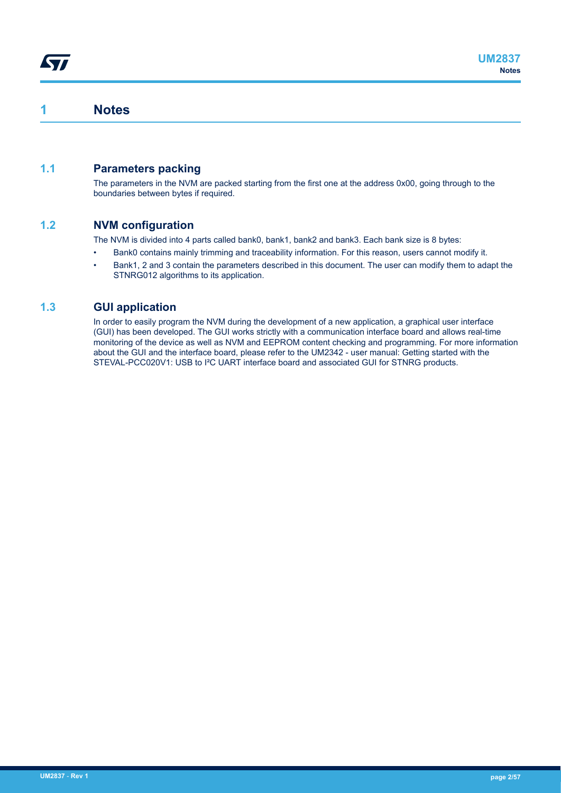# **1 Notes**

<span id="page-1-0"></span>*Eal* 

# **1.1 Parameters packing**

The parameters in the NVM are packed starting from the first one at the address 0x00, going through to the boundaries between bytes if required.

# **1.2 NVM configuration**

The NVM is divided into 4 parts called bank0, bank1, bank2 and bank3. Each bank size is 8 bytes:

- Bank0 contains mainly trimming and traceability information. For this reason, users cannot modify it.
- Bank1, 2 and 3 contain the parameters described in this document. The user can modify them to adapt the STNRG012 algorithms to its application.

# **1.3 GUI application**

In order to easily program the NVM during the development of a new application, a graphical user interface (GUI) has been developed. The GUI works strictly with a communication interface board and allows real-time monitoring of the device as well as NVM and EEPROM content checking and programming. For more information about the GUI and the interface board, please refer to the UM2342 - user manual: Getting started with the STEVAL-PCC020V1: USB to I²C UART interface board and associated GUI for STNRG products.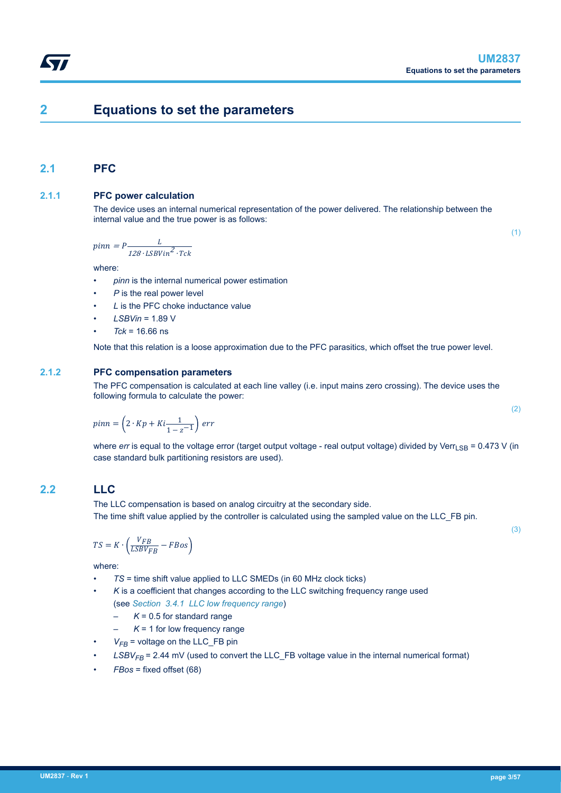# **2 Equations to set the parameters**

# **2.1 PFC**

<span id="page-2-0"></span>W

# **2.1.1 PFC power calculation**

The device uses an internal numerical representation of the power delivered. The relationship between the internal value and the true power is as follows:

$$
pinn = P \frac{L}{128 \cdot \text{LSB} \text{V in}^2 \cdot \text{Tck}}
$$

where:

- *pinn* is the internal numerical power estimation
- P is the real power level
- *L* is the PFC choke inductance value
- *LSBVin* = 1.89 V
- $Tck = 16.66$  ns

Note that this relation is a loose approximation due to the PFC parasitics, which offset the true power level.

# **2.1.2 PFC compensation parameters**

The PFC compensation is calculated at each line valley (i.e. input mains zero crossing). The device uses the following formula to calculate the power:

$$
pinn = \left(2 \cdot Kp + Ki \frac{1}{1 - z^{-1}}\right) \text{ err}
$$

where *err* is equal to the voltage error (target output voltage - real output voltage) divided by Verr<sub>LSB</sub> = 0.473 V (in case standard bulk partitioning resistors are used).

# **2.2 LLC**

The LLC compensation is based on analog circuitry at the secondary side. The time shift value applied by the controller is calculated using the sampled value on the LLC\_FB pin.

$$
TS = K \cdot \left(\frac{V_{FB}}{LSBV_{FB}} - FBos\right)
$$

where:

- *TS* = time shift value applied to LLC SMEDs (in 60 MHz clock ticks)
- K is a coefficient that changes according to the LLC switching frequency range used (see *[Section 3.4.1 LLC low frequency range](#page-25-0)*)
	- $K = 0.5$  for standard range
	- $K = 1$  for low frequency range
- $V_{FB}$  = voltage on the LLC FB pin
- $LSBV_{FB}$  = 2.44 mV (used to convert the LLC FB voltage value in the internal numerical format)
- *FBos* = fixed offset (68)

(2)

(1)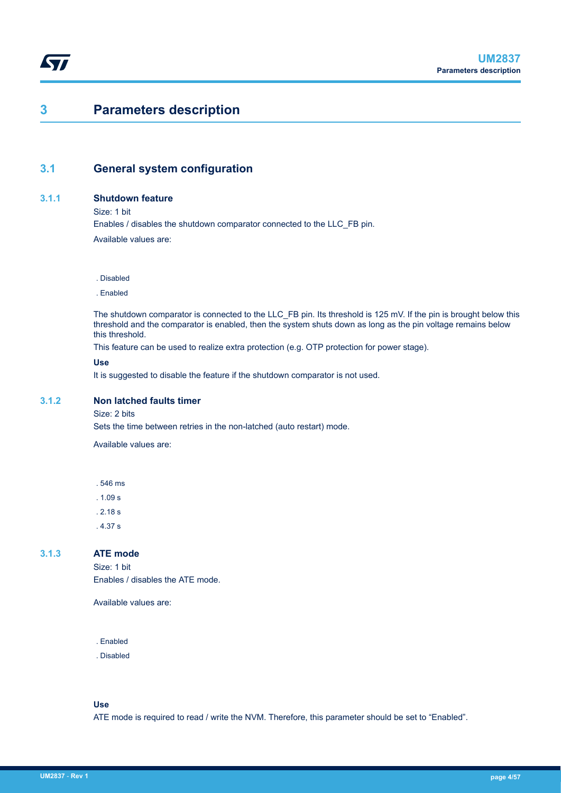# <span id="page-3-0"></span>**3 Parameters description**

# **3.1 General system configuration**

#### **3.1.1 Shutdown feature**

Size: 1 bit

Enables / disables the shutdown comparator connected to the LLC\_FB pin. Available values are:

. Disabled

. Enabled

The shutdown comparator is connected to the LLC\_FB pin. Its threshold is 125 mV. If the pin is brought below this threshold and the comparator is enabled, then the system shuts down as long as the pin voltage remains below this threshold.

This feature can be used to realize extra protection (e.g. OTP protection for power stage).

#### **Use**

It is suggested to disable the feature if the shutdown comparator is not used.

# **3.1.2 Non latched faults timer**

Size: 2 bits

Sets the time between retries in the non-latched (auto restart) mode.

Available values are:

. 546 ms

. 1.09 s

. 2.18 s

. 4.37 s

#### **3.1.3 ATE mode**

Size: 1 bit Enables / disables the ATE mode.

Available values are:

. Enabled

. Disabled

**Use**

ATE mode is required to read / write the NVM. Therefore, this parameter should be set to "Enabled".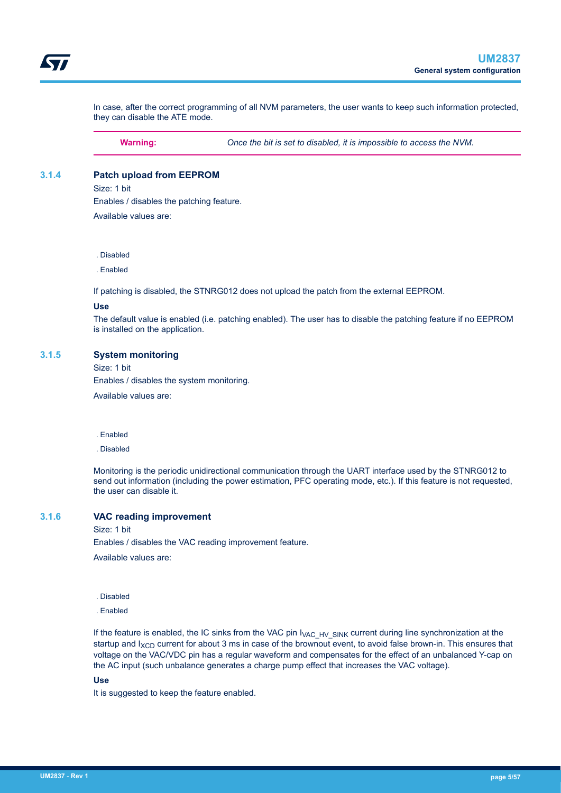<span id="page-4-0"></span>In case, after the correct programming of all NVM parameters, the user wants to keep such information protected, they can disable the ATE mode.

**Warning:** *Once the bit is set to disabled, it is impossible to access the NVM.*

#### **3.1.4 Patch upload from EEPROM**

Size: 1 bit

Enables / disables the patching feature.

Available values are:

. Disabled

. Enabled

If patching is disabled, the STNRG012 does not upload the patch from the external EEPROM.

#### **Use**

The default value is enabled (i.e. patching enabled). The user has to disable the patching feature if no EEPROM is installed on the application.

#### **3.1.5 System monitoring**

Size: 1 bit

Enables / disables the system monitoring.

Available values are:

- . Enabled
- . Disabled

Monitoring is the periodic unidirectional communication through the UART interface used by the STNRG012 to send out information (including the power estimation, PFC operating mode, etc.). If this feature is not requested, the user can disable it.

#### **3.1.6 VAC reading improvement**

Size: 1 bit

Enables / disables the VAC reading improvement feature.

Available values are:

. Disabled

. Enabled

If the feature is enabled, the IC sinks from the VAC pin  $V_{\text{AC-HV-SINK}}$  current during line synchronization at the startup and  $I_{XCD}$  current for about 3 ms in case of the brownout event, to avoid false brown-in. This ensures that voltage on the VAC/VDC pin has a regular waveform and compensates for the effect of an unbalanced Y-cap on the AC input (such unbalance generates a charge pump effect that increases the VAC voltage).

#### **Use**

It is suggested to keep the feature enabled.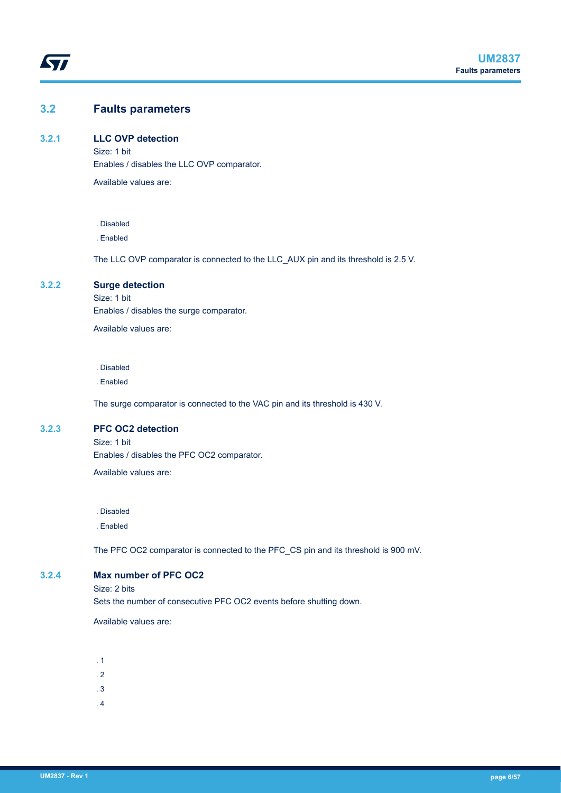# <span id="page-5-0"></span>**3.2 Faults parameters**

#### **3.2.1 LLC OVP detection**

Size: 1 bit Enables / disables the LLC OVP comparator.

Available values are:

#### . Disabled

. Enabled

The LLC OVP comparator is connected to the LLC\_AUX pin and its threshold is 2.5 V.

# **3.2.2 Surge detection**

Size: 1 bit Enables / disables the surge comparator.

Available values are:

. Disabled

. Enabled

The surge comparator is connected to the VAC pin and its threshold is 430 V.

#### **3.2.3 PFC OC2 detection**

Size: 1 bit Enables / disables the PFC OC2 comparator.

Available values are:

. Disabled

. Enabled

The PFC OC2 comparator is connected to the PFC\_CS pin and its threshold is 900 mV.

# **3.2.4 Max number of PFC OC2**

Size: 2 bits

Sets the number of consecutive PFC OC2 events before shutting down.

Available values are:

- . 1
- . 2
- . 3
- . 4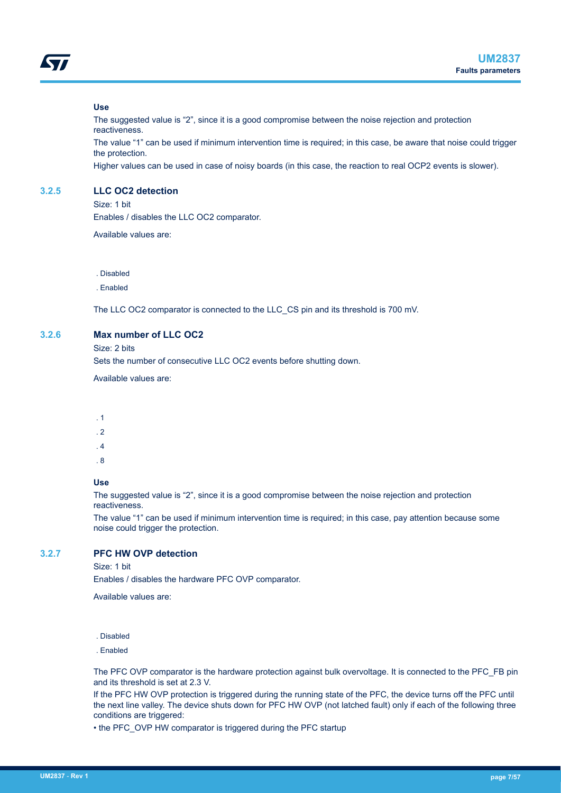<span id="page-6-0"></span>

#### **Use**

The suggested value is "2", since it is a good compromise between the noise rejection and protection reactiveness.

The value "1" can be used if minimum intervention time is required; in this case, be aware that noise could trigger the protection.

Higher values can be used in case of noisy boards (in this case, the reaction to real OCP2 events is slower).

#### **3.2.5 LLC OC2 detection**

Size: 1 bit

Enables / disables the LLC OC2 comparator.

Available values are:

. Disabled

. Enabled

The LLC OC2 comparator is connected to the LLC\_CS pin and its threshold is 700 mV.

# **3.2.6 Max number of LLC OC2**

Size: 2 bits

Sets the number of consecutive LLC OC2 events before shutting down.

Available values are:

- . 1
- . 2
- . 4
- . 8
- 

## **Use**

The suggested value is "2", since it is a good compromise between the noise rejection and protection reactiveness.

The value "1" can be used if minimum intervention time is required; in this case, pay attention because some noise could trigger the protection.

# **3.2.7 PFC HW OVP detection**

Size: 1 bit

Enables / disables the hardware PFC OVP comparator.

Available values are:

. Disabled

. Enabled

The PFC OVP comparator is the hardware protection against bulk overvoltage. It is connected to the PFC\_FB pin and its threshold is set at 2.3 V.

If the PFC HW OVP protection is triggered during the running state of the PFC, the device turns off the PFC until the next line valley. The device shuts down for PFC HW OVP (not latched fault) only if each of the following three conditions are triggered:

• the PFC\_OVP HW comparator is triggered during the PFC startup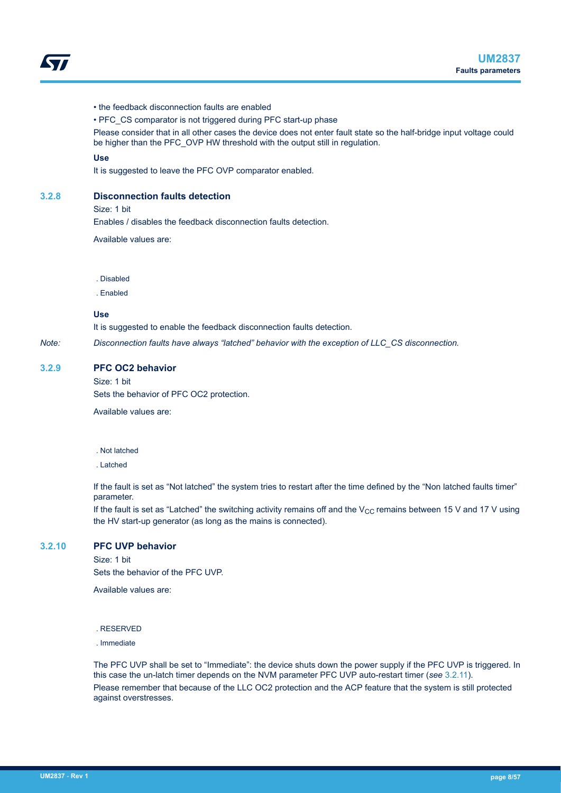- <span id="page-7-0"></span>• the feedback disconnection faults are enabled
- PFC\_CS comparator is not triggered during PFC start-up phase

Please consider that in all other cases the device does not enter fault state so the half-bridge input voltage could be higher than the PFC\_OVP HW threshold with the output still in regulation.

#### **Use**

It is suggested to leave the PFC OVP comparator enabled.

#### **3.2.8 Disconnection faults detection**

Size: 1 bit

Enables / disables the feedback disconnection faults detection.

Available values are:

. Disabled

. Enabled

**Use**

It is suggested to enable the feedback disconnection faults detection.

*Note: Disconnection faults have always "latched" behavior with the exception of LLC\_CS disconnection.*

#### **3.2.9 PFC OC2 behavior**

Size: 1 bit

Sets the behavior of PFC OC2 protection.

Available values are:

#### . Not latched

. Latched

If the fault is set as "Not latched" the system tries to restart after the time defined by the "Non latched faults timer" parameter.

If the fault is set as "Latched" the switching activity remains off and the  $V_{CC}$  remains between 15 V and 17 V using the HV start-up generator (as long as the mains is connected).

# **3.2.10 PFC UVP behavior**

Size: 1 bit Sets the behavior of the PFC UVP.

Available values are:

. RESERVED

. Immediate

The PFC UVP shall be set to "Immediate": the device shuts down the power supply if the PFC UVP is triggered. In this case the un-latch timer depends on the NVM parameter PFC UVP auto-restart timer (*see* [3.2.11\)](#page-8-0). Please remember that because of the LLC OC2 protection and the ACP feature that the system is still protected against overstresses.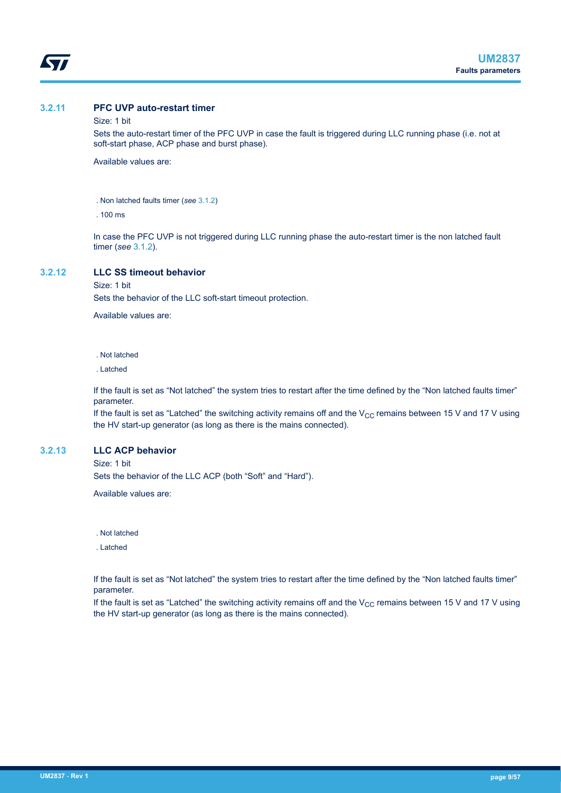<span id="page-8-0"></span>

# **3.2.11 PFC UVP auto-restart timer**

#### Size: 1 bit

Sets the auto-restart timer of the PFC UVP in case the fault is triggered during LLC running phase (i.e. not at soft-start phase, ACP phase and burst phase).

Available values are:

. Non latched faults timer (*see* [3.1.2](#page-3-0))

. 100 ms

In case the PFC UVP is not triggered during LLC running phase the auto-restart timer is the non latched fault timer (*see* [3.1.2\)](#page-3-0).

#### **3.2.12 LLC SS timeout behavior**

Size: 1 bit

Sets the behavior of the LLC soft-start timeout protection.

Available values are:

. Not latched

. Latched

If the fault is set as "Not latched" the system tries to restart after the time defined by the "Non latched faults timer" parameter.

If the fault is set as "Latched" the switching activity remains off and the  $V_{CC}$  remains between 15 V and 17 V using the HV start-up generator (as long as there is the mains connected).

### **3.2.13 LLC ACP behavior**

Size: 1 bit

Sets the behavior of the LLC ACP (both "Soft" and "Hard").

Available values are:

. Not latched

. Latched

If the fault is set as "Not latched" the system tries to restart after the time defined by the "Non latched faults timer" parameter.

If the fault is set as "Latched" the switching activity remains off and the  $V_{CC}$  remains between 15 V and 17 V using the HV start-up generator (as long as there is the mains connected).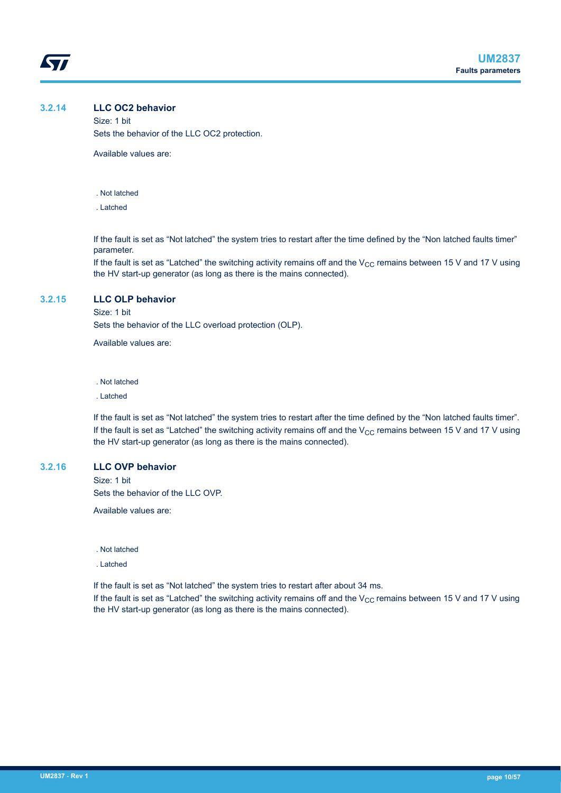#### <span id="page-9-0"></span>**3.2.14 LLC OC2 behavior**

Size: 1 bit Sets the behavior of the LLC OC2 protection.

Available values are:

- . Not latched
- . Latched

If the fault is set as "Not latched" the system tries to restart after the time defined by the "Non latched faults timer" parameter.

If the fault is set as "Latched" the switching activity remains off and the  $V_{CC}$  remains between 15 V and 17 V using the HV start-up generator (as long as there is the mains connected).

#### **3.2.15 LLC OLP behavior**

Size: 1 bit

Sets the behavior of the LLC overload protection (OLP).

Available values are:

. Not latched

. Latched

If the fault is set as "Not latched" the system tries to restart after the time defined by the "Non latched faults timer". If the fault is set as "Latched" the switching activity remains off and the  $V_{CC}$  remains between 15 V and 17 V using the HV start-up generator (as long as there is the mains connected).

# **3.2.16 LLC OVP behavior**

Size: 1 bit

Sets the behavior of the LLC OVP.

Available values are:

. Not latched

. Latched

If the fault is set as "Not latched" the system tries to restart after about 34 ms.

If the fault is set as "Latched" the switching activity remains off and the  $V_{CC}$  remains between 15 V and 17 V using the HV start-up generator (as long as there is the mains connected).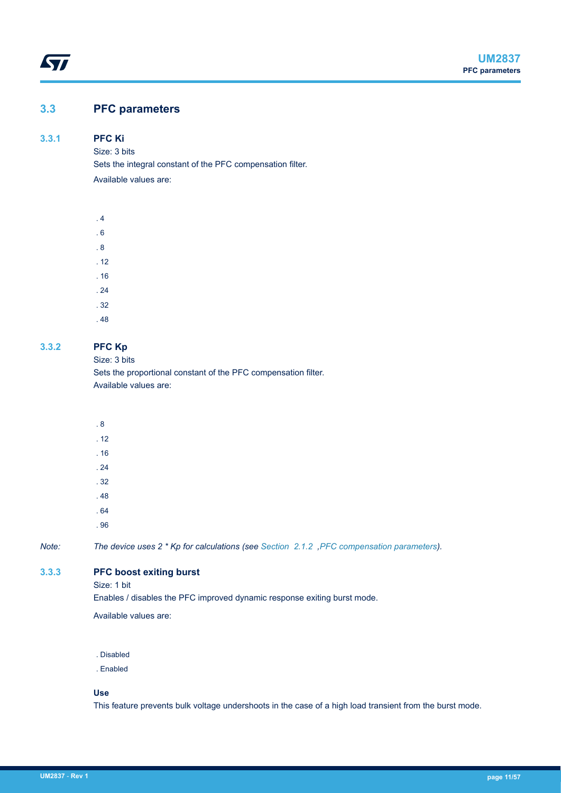# <span id="page-10-0"></span>**3.3 PFC parameters**

## **3.3.1 PFC Ki**

Size: 3 bits

Sets the integral constant of the PFC compensation filter.

Available values are:



# **3.3.2 PFC Kp**

Size: 3 bits

Sets the proportional constant of the PFC compensation filter. Available values are:

| .8      |   |  |  |  |
|---------|---|--|--|--|
| .12     |   |  |  |  |
| .16     |   |  |  |  |
| .24     |   |  |  |  |
| .32     |   |  |  |  |
| .48     |   |  |  |  |
| .64     |   |  |  |  |
| .96     |   |  |  |  |
| _______ | . |  |  |  |

*Note: The device uses 2 \* Kp for calculations (see [Section 2.1.2 ,PFC compensation parameters\)](#page-2-0).*

# **3.3.3 PFC boost exiting burst**

Size: 1 bit

Enables / disables the PFC improved dynamic response exiting burst mode.

Available values are:

. Disabled

. Enabled

#### **Use**

This feature prevents bulk voltage undershoots in the case of a high load transient from the burst mode.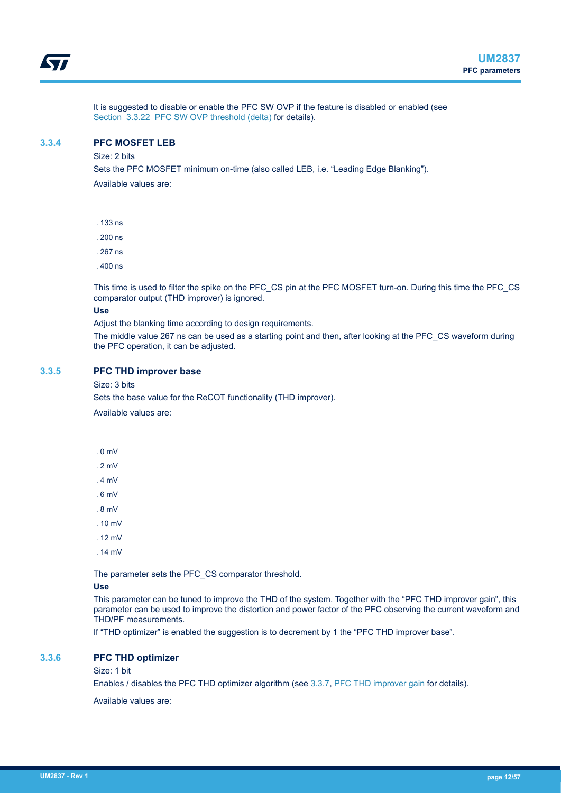<span id="page-11-0"></span>It is suggested to disable or enable the PFC SW OVP if the feature is disabled or enabled (see [Section 3.3.22 PFC SW OVP threshold \(delta\)](#page-24-0) for details).

#### **3.3.4 PFC MOSFET LEB**

Size: 2 bits

Sets the PFC MOSFET minimum on-time (also called LEB, i.e. "Leading Edge Blanking").

Available values are:

- . 133 ns
- . 200 ns
- . 267 ns
- . 400 ns

This time is used to filter the spike on the PFC\_CS pin at the PFC MOSFET turn-on. During this time the PFC\_CS comparator output (THD improver) is ignored.

#### **Use**

Adjust the blanking time according to design requirements.

The middle value 267 ns can be used as a starting point and then, after looking at the PFC\_CS waveform during the PFC operation, it can be adjusted.

#### **3.3.5 PFC THD improver base**

Size: 3 bits

Sets the base value for the ReCOT functionality (THD improver). Available values are:

- . 0 mV
- . 2 mV
- . 4 mV
- . 6 mV
- . 8 mV
- . 10 mV
- . 12 mV
- . 14 mV

The parameter sets the PFC\_CS comparator threshold.

#### **Use**

This parameter can be tuned to improve the THD of the system. Together with the "PFC THD improver gain", this parameter can be used to improve the distortion and power factor of the PFC observing the current waveform and THD/PF measurements.

If "THD optimizer" is enabled the suggestion is to decrement by 1 the "PFC THD improver base".

#### **3.3.6 PFC THD optimizer**

#### Size: 1 bit

Enables / disables the PFC THD optimizer algorithm (see [3.3.7,](#page-13-0) [PFC THD improver gain](#page-13-0) for details).

Available values are: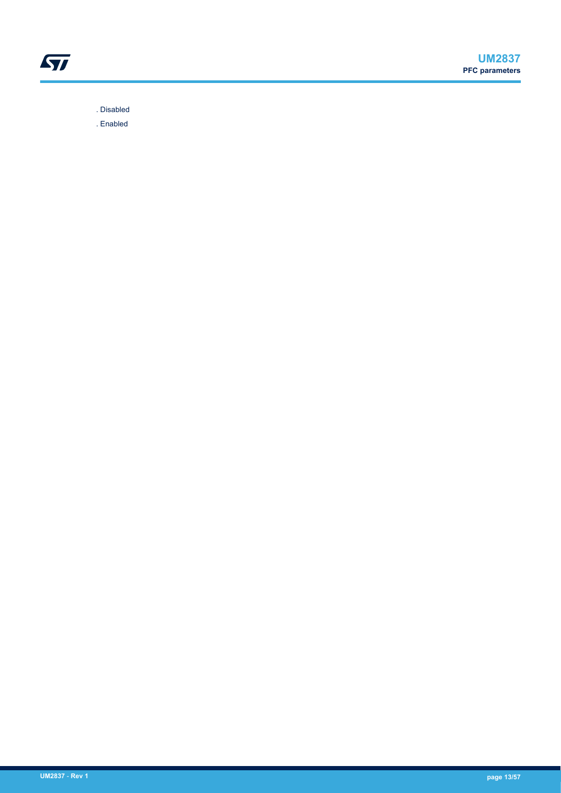

. Disabled

. Enabled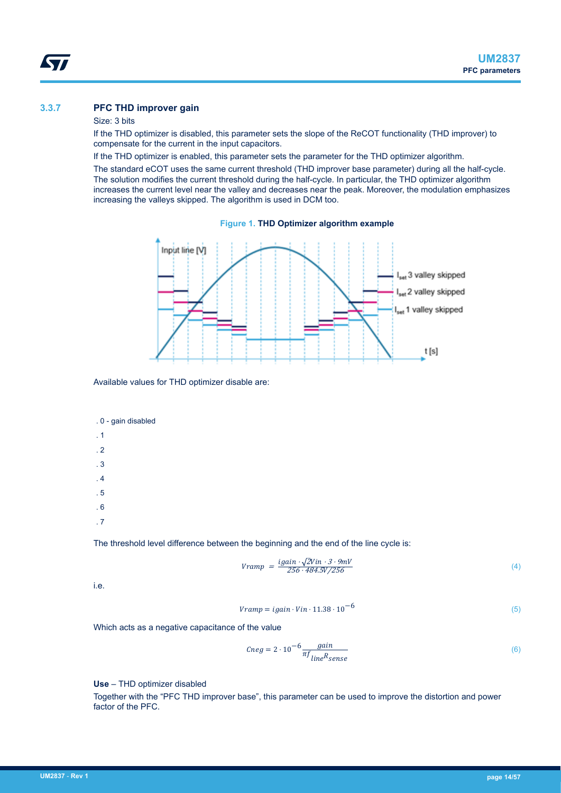# <span id="page-13-0"></span>**3.3.7 PFC THD improver gain**

#### Size: 3 bits

If the THD optimizer is disabled, this parameter sets the slope of the ReCOT functionality (THD improver) to compensate for the current in the input capacitors.

If the THD optimizer is enabled, this parameter sets the parameter for the THD optimizer algorithm.

The standard eCOT uses the same current threshold (THD improver base parameter) during all the half-cycle. The solution modifies the current threshold during the half-cycle. In particular, the THD optimizer algorithm increases the current level near the valley and decreases near the peak. Moreover, the modulation emphasizes increasing the valleys skipped. The algorithm is used in DCM too.





Available values for THD optimizer disable are:

. 0 - gain disabled

. 1

- . 2
- . 3
- . 4
- . 5
- . 6

. 7

The threshold level difference between the beginning and the end of the line cycle is:

$$
Vramp = \frac{igain \cdot \sqrt{2}Vin \cdot 3 \cdot 9mV}{256 \cdot 484.5V / 256}
$$
\n<sup>(4)</sup>

i.e.

$$
Vramp = igain \cdot Vin \cdot 11.38 \cdot 10^{-6}
$$
\n<sup>(5)</sup>

Which acts as a negative capacitance of the value

$$
Cneg = 2 \cdot 10^{-6} \frac{gain}{\pi f_{line} R_{sense}} \tag{6}
$$

**Use** – THD optimizer disabled

Together with the "PFC THD improver base", this parameter can be used to improve the distortion and power factor of the PFC.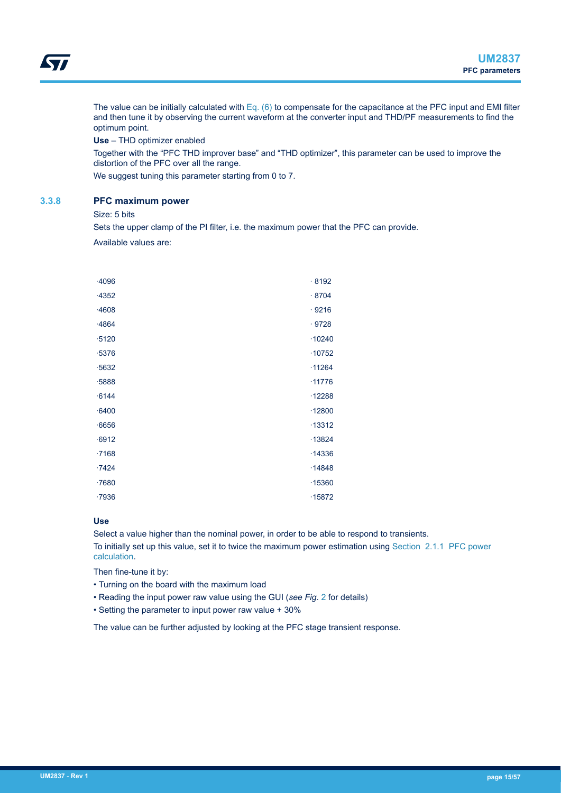<span id="page-14-0"></span>The value can be initially calculated with [Eq. \(6\)](#page-13-0) to compensate for the capacitance at the PFC input and EMI filter and then tune it by observing the current waveform at the converter input and THD/PF measurements to find the optimum point.

**Use** – THD optimizer enabled

Together with the "PFC THD improver base" and "THD optimizer", this parameter can be used to improve the distortion of the PFC over all the range.

We suggest tuning this parameter starting from 0 to 7.

#### **3.3.8 PFC maximum power**

Size: 5 bits

Sets the upper clamp of the PI filter, i.e. the maximum power that the PFC can provide.

Available values are:

| $-4096$ | .8192    |
|---------|----------|
| $-4352$ | .8704    |
| $-4608$ | .9216    |
| $-4864$ | .9728    |
| $-5120$ | .10240   |
| $-5376$ | .10752   |
| $-5632$ | .11264   |
| $-5888$ | .11776   |
| $-6144$ | .12288   |
| $-6400$ | .12800   |
| $-6656$ | $-13312$ |
| $-6912$ | $-13824$ |
| .7168   | $-14336$ |
| $-7424$ | .14848   |
| $-7680$ | .15360   |
| $-7936$ | .15872   |

#### **Use**

Select a value higher than the nominal power, in order to be able to respond to transients. To initially set up this value, set it to twice the maximum power estimation using [Section 2.1.1 PFC power](#page-2-0) [calculation.](#page-2-0)

Then fine-tune it by:

- Turning on the board with the maximum load
- Reading the input power raw value using the GUI (*see Fig*. [2](#page-15-0) for details)
- Setting the parameter to input power raw value + 30%

The value can be further adjusted by looking at the PFC stage transient response.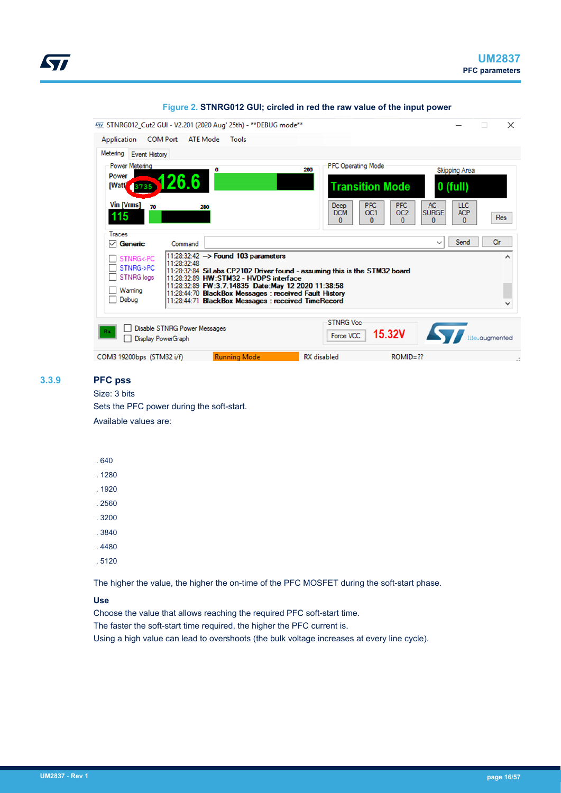<span id="page-15-0"></span>

| 477 STNRG012_Cut2 GUI - V2.201 (2020 Aug' 25th) - ** DEBUG mode **                                                                                                                                                                                                                                                                                                                                                                                                                  |                                                                                                                 |                                                                 | $\times$<br>п     |
|-------------------------------------------------------------------------------------------------------------------------------------------------------------------------------------------------------------------------------------------------------------------------------------------------------------------------------------------------------------------------------------------------------------------------------------------------------------------------------------|-----------------------------------------------------------------------------------------------------------------|-----------------------------------------------------------------|-------------------|
| <b>COM Port</b><br>Application<br><b>ATE Mode</b><br><b>Tools</b>                                                                                                                                                                                                                                                                                                                                                                                                                   |                                                                                                                 |                                                                 |                   |
| Metering Event History                                                                                                                                                                                                                                                                                                                                                                                                                                                              |                                                                                                                 |                                                                 |                   |
| Power Metering<br>O                                                                                                                                                                                                                                                                                                                                                                                                                                                                 | <b>PFC Operating Mode</b><br>200                                                                                | <b>Skipping Area</b>                                            |                   |
| <b>Power</b><br>26.6<br>[Watt]                                                                                                                                                                                                                                                                                                                                                                                                                                                      | <b>Transition Mode</b>                                                                                          | $0$ (full)                                                      |                   |
| Vin [Vrms]<br>70<br>280<br>115                                                                                                                                                                                                                                                                                                                                                                                                                                                      | <b>PFC</b><br><b>PFC</b><br>Deep<br>OC <sub>2</sub><br><b>DCM</b><br>OC <sub>1</sub><br>$\mathbf{0}$<br>n.<br>n | <b>AC</b><br><b>LLC</b><br><b>SURGE</b><br><b>ACP</b><br>0<br>n | Res               |
| Traces                                                                                                                                                                                                                                                                                                                                                                                                                                                                              |                                                                                                                 |                                                                 |                   |
| $\boxdot$ Generic<br>Command                                                                                                                                                                                                                                                                                                                                                                                                                                                        |                                                                                                                 | Send<br>$\checkmark$                                            | Clr               |
| $11:28:32:42$ -> Found 103 parameters<br>STNRG<-PC<br>11:28:32:48<br>STNRG->PC<br>11:28:32:84 SiLabs CP2102 Driver found - assuming this is the STM32 board<br><b>STNRG</b> logs<br>$\overline{\phantom{a}}$<br>11:28:32:89 HW:STM32 - HVDPS interface<br>11:28:32:89 FW:3.7.14835 Date:May 12 2020 11:38:58<br>Waming<br>$\overline{\phantom{a}}$<br>11:28:44:70 BlackBox Messages : received Fault History<br>$\Box$ Debug<br>11:28:44:71 BlackBox Messages : received TimeRecord |                                                                                                                 |                                                                 | ۸<br>$\checkmark$ |
| <b>Disable STNRG Power Messages</b><br>Rx<br><b>Display PowerGraph</b>                                                                                                                                                                                                                                                                                                                                                                                                              | <b>STNRG Vcc</b><br><b>15.32V</b><br>Force VCC                                                                  |                                                                 | life.augmented    |
| <b>Running Mode</b><br>COM3 19200bps (STM32 i/f)                                                                                                                                                                                                                                                                                                                                                                                                                                    | <b>RX</b> disabled<br>$ROMID = ??$                                                                              |                                                                 | и,                |

#### **Figure 2. STNRG012 GUI; circled in red the raw value of the input power**

## **3.3.9 PFC pss**

# Size: 3 bits

Sets the PFC power during the soft-start. Available values are:

#### . 640

. 1280

. 1920

- . 2560
- . 3200
- . 3840
- . 4480
- . 5120

The higher the value, the higher the on-time of the PFC MOSFET during the soft-start phase.

#### **Use**

Choose the value that allows reaching the required PFC soft-start time.

The faster the soft-start time required, the higher the PFC current is.

Using a high value can lead to overshoots (the bulk voltage increases at every line cycle).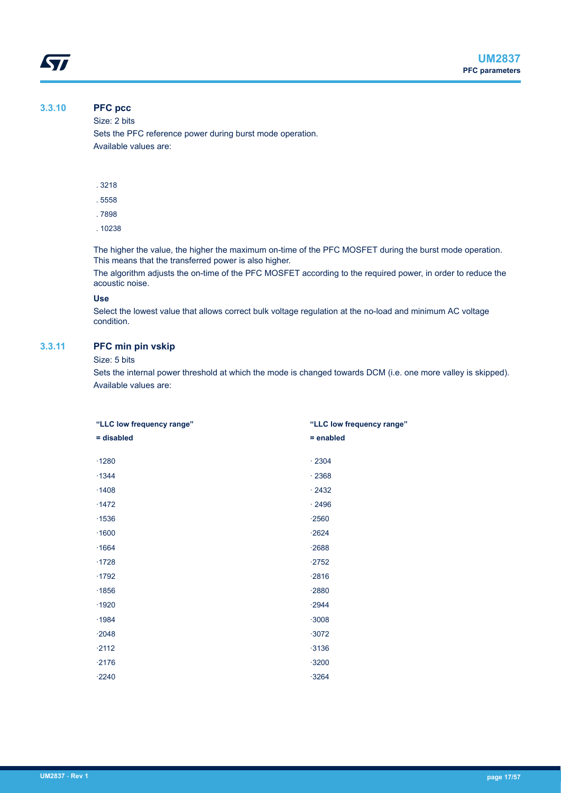# **3.3.10 PFC pcc**

<span id="page-16-0"></span>ST

Size: 2 bits

Sets the PFC reference power during burst mode operation. Available values are:

- . 3218
- . 5558
- . 7898
- . 10238

The higher the value, the higher the maximum on-time of the PFC MOSFET during the burst mode operation. This means that the transferred power is also higher.

The algorithm adjusts the on-time of the PFC MOSFET according to the required power, in order to reduce the acoustic noise.

#### **Use**

Select the lowest value that allows correct bulk voltage regulation at the no-load and minimum AC voltage condition.

# **3.3.11 PFC min pin vskip**

#### Size: 5 bits

Sets the internal power threshold at which the mode is changed towards DCM (i.e. one more valley is skipped). Available values are:

| "LLC low frequency range" | "LLC low frequency range" |  |
|---------------------------|---------------------------|--|
| = disabled                | $=$ enabled               |  |
|                           |                           |  |
| $-1280$                   | .2304                     |  |
| .1344                     | .2368                     |  |
| $\cdot$ 1408              | $\cdot$ 2432              |  |
| $-1472$                   | .2496                     |  |
| .1536                     | $-2560$                   |  |
| .1600                     | $-2624$                   |  |
| .1664                     | $-2688$                   |  |
| .1728                     | $-2752$                   |  |
| .1792                     | $-2816$                   |  |
| .1856                     | $-2880$                   |  |
| .1920                     | $-2944$                   |  |
| .1984                     | $-3008$                   |  |
| $-2048$                   | $-3072$                   |  |
| $-2112$                   | $-3136$                   |  |
| $-2176$                   | $-3200$                   |  |
| $-2240$                   | $-3264$                   |  |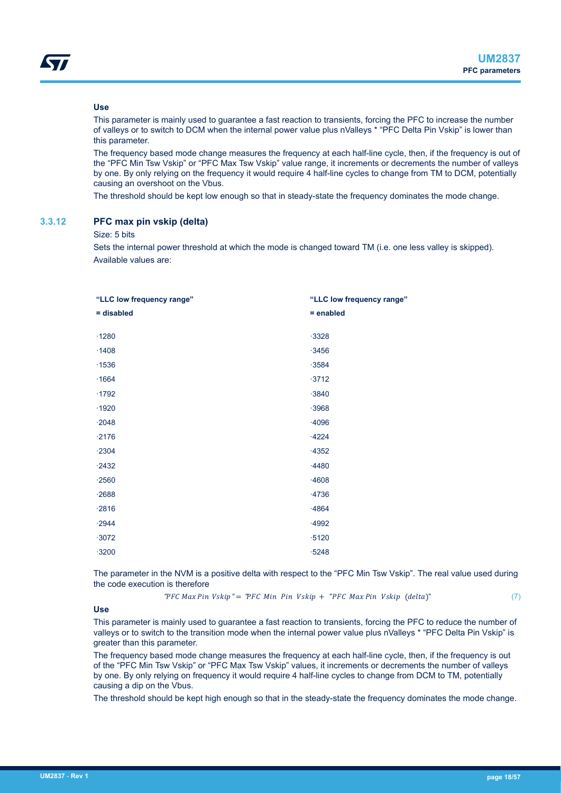#### <span id="page-17-0"></span>**Use**

This parameter is mainly used to guarantee a fast reaction to transients, forcing the PFC to increase the number of valleys or to switch to DCM when the internal power value plus nValleys \* "PFC Delta Pin Vskip" is lower than this parameter.

The frequency based mode change measures the frequency at each half-line cycle, then, if the frequency is out of the "PFC Min Tsw Vskip" or "PFC Max Tsw Vskip" value range, it increments or decrements the number of valleys by one. By only relying on the frequency it would require 4 half-line cycles to change from TM to DCM, potentially causing an overshoot on the Vbus.

The threshold should be kept low enough so that in steady-state the frequency dominates the mode change.

#### **3.3.12 PFC max pin vskip (delta)**

#### Size: 5 bits

Sets the internal power threshold at which the mode is changed toward TM (i.e. one less valley is skipped). Available values are:

| "LLC low frequency range" |  |
|---------------------------|--|
| $=$ enabled               |  |
| $-3328$                   |  |
| $-3456$                   |  |
| $-3584$                   |  |
| $-3712$                   |  |
| $-3840$                   |  |
| $-3968$                   |  |
| .4096                     |  |
| $-4224$                   |  |
| $-4352$                   |  |
| $-4480$                   |  |
| .4608                     |  |
| $-4736$                   |  |
| $-4864$                   |  |
| $-4992$                   |  |
| $-5120$                   |  |
| $-5248$                   |  |
|                           |  |

The parameter in the NVM is a positive delta with respect to the "PFC Min Tsw Vskip". The real value used during the code execution is therefore

" $PFC Max Pin Vskip'' = "PFC Min Pin Vskip + "PFC Max Pin Vskip (delta")$  (7)

#### **Use**

This parameter is mainly used to guarantee a fast reaction to transients, forcing the PFC to reduce the number of valleys or to switch to the transition mode when the internal power value plus nValleys \* "PFC Delta Pin Vskip" is greater than this parameter.

The frequency based mode change measures the frequency at each half-line cycle, then, if the frequency is out of the "PFC Min Tsw Vskip" or "PFC Max Tsw Vskip" values, it increments or decrements the number of valleys by one. By only relying on frequency it would require 4 half-line cycles to change from DCM to TM, potentially causing a dip on the Vbus.

The threshold should be kept high enough so that in the steady-state the frequency dominates the mode change.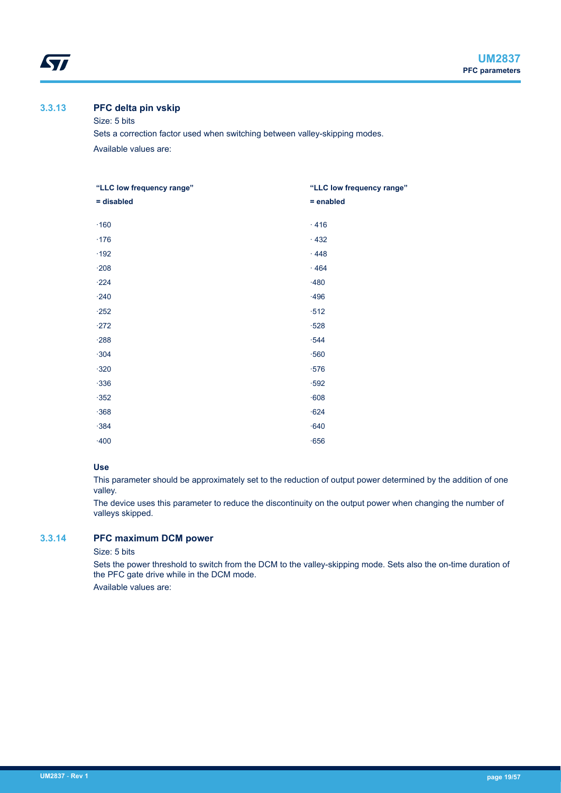# **3.3.13 PFC delta pin vskip**

<span id="page-18-0"></span>*STI* 

#### Size: 5 bits

Sets a correction factor used when switching between valley-skipping modes. Available values are:

| "LLC low frequency range" | "LLC low frequency range" |  |
|---------------------------|---------------------------|--|
| = disabled                | = enabled                 |  |
|                           |                           |  |
| $\cdot$ 160               | .416                      |  |
| $\cdot$ 176               | .432                      |  |
| $\cdot$ 192               | .448                      |  |
| $\cdot$ 208               | .464                      |  |
| $-224$                    | $-480$                    |  |
| $-240$                    | $-496$                    |  |
| $-252$                    | $\cdot 512$               |  |
| $-272$                    | $-528$                    |  |
| $-288$                    | $-544$                    |  |
| $-304$                    | .560                      |  |
| $-320$                    | $\cdot$ 576               |  |
| $-336$                    | $-592$                    |  |
| $-352$                    | .608                      |  |
| $-368$                    | $-624$                    |  |
| $-384$                    | $-640$                    |  |
| $-400$                    | $-656$                    |  |

#### **Use**

This parameter should be approximately set to the reduction of output power determined by the addition of one valley.

The device uses this parameter to reduce the discontinuity on the output power when changing the number of valleys skipped.

# **3.3.14 PFC maximum DCM power**

## Size: 5 bits

Sets the power threshold to switch from the DCM to the valley-skipping mode. Sets also the on-time duration of the PFC gate drive while in the DCM mode.

Available values are: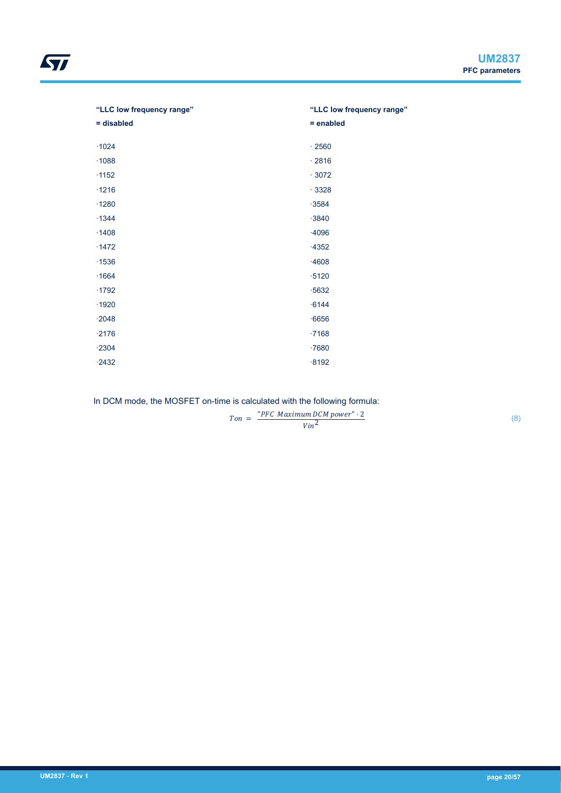| "LLC low frequency range" | "LLC low frequency range" |
|---------------------------|---------------------------|
| = disabled                | $=$ enabled               |
|                           |                           |
| $\cdot$ 1024              | $\cdot$ 2560              |
| .1088                     | .2816                     |
| $\cdot$ 1152              | .3072                     |
| $\cdot$ 1216              | .3328                     |
| $\cdot$ 1280              | $-3584$                   |
| $-1344$                   | $-3840$                   |
| $\cdot$ 1408              | $-4096$                   |
| $-1472$                   | $-4352$                   |
| $-1536$                   | $-4608$                   |
| $\cdot$ 1664              | $-5120$                   |
| $\cdot$ 1792              | $-5632$                   |
| $-1920$                   | $-6144$                   |
| $-2048$                   | $-6656$                   |
| $-2176$                   | .7168                     |
| $-2304$                   | $-7680$                   |
| $-2432$                   | $-8192$                   |
|                           |                           |

In DCM mode, the MOSFET on-time is calculated with the following formula:

 $Ton = \frac{PFC\text{ Maximum DCM power} \cdot 2}{W\sqrt{2}}$ Vin<sup>2</sup>

(8)

ST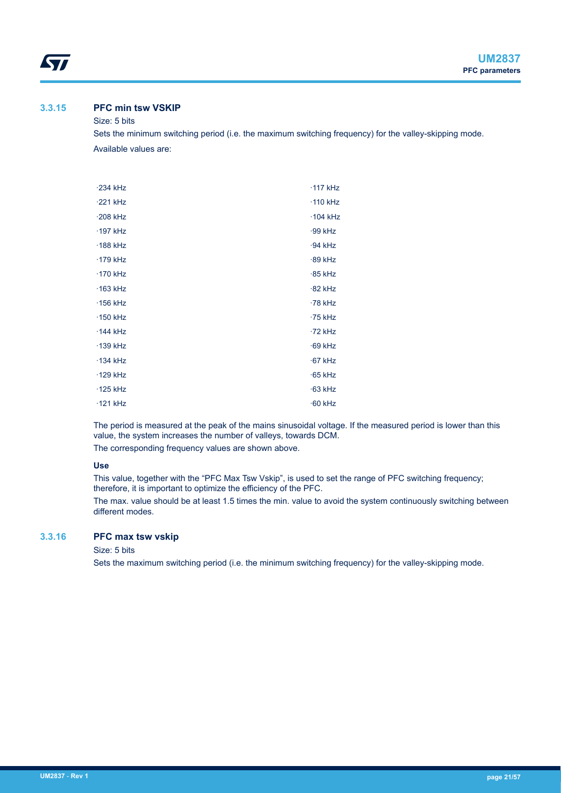# <span id="page-20-0"></span>**3.3.15 PFC min tsw VSKIP**

# Size: 5 bits

Sets the minimum switching period (i.e. the maximum switching frequency) for the valley-skipping mode. Available values are:

| $-234$ kHz      | $\cdot$ 117 kHz |
|-----------------|-----------------|
| $-221$ kHz      | $\cdot$ 110 kHz |
| $-208$ kHz      | $\cdot$ 104 kHz |
| $\cdot$ 197 kHz | $-99$ kHz       |
| $\cdot$ 188 kHz | $-94$ kHz       |
| ·179 kHz        | $-89$ kHz       |
| $\cdot$ 170 kHz | $-85$ kHz       |
| $\cdot$ 163 kHz | $-82$ kHz       |
| $\cdot$ 156 kHz | $-78$ kHz       |
| $\cdot$ 150 kHz | $-75$ kHz       |
| $-144$ kHz      | $-72$ kHz       |
| $\cdot$ 139 kHz | $-69$ kHz       |
| $-134$ kHz      | $-67$ kHz       |
| $\cdot$ 129 kHz | $-65$ kHz       |
| $\cdot$ 125 kHz | $-63$ kHz       |
| $\cdot$ 121 kHz | $-60$ kHz       |

The period is measured at the peak of the mains sinusoidal voltage. If the measured period is lower than this value, the system increases the number of valleys, towards DCM. The corresponding frequency values are shown above.

#### **Use**

This value, together with the "PFC Max Tsw Vskip", is used to set the range of PFC switching frequency; therefore, it is important to optimize the efficiency of the PFC.

The max. value should be at least 1.5 times the min. value to avoid the system continuously switching between different modes.

#### **3.3.16 PFC max tsw vskip**

Size: 5 bits

Sets the maximum switching period (i.e. the minimum switching frequency) for the valley-skipping mode.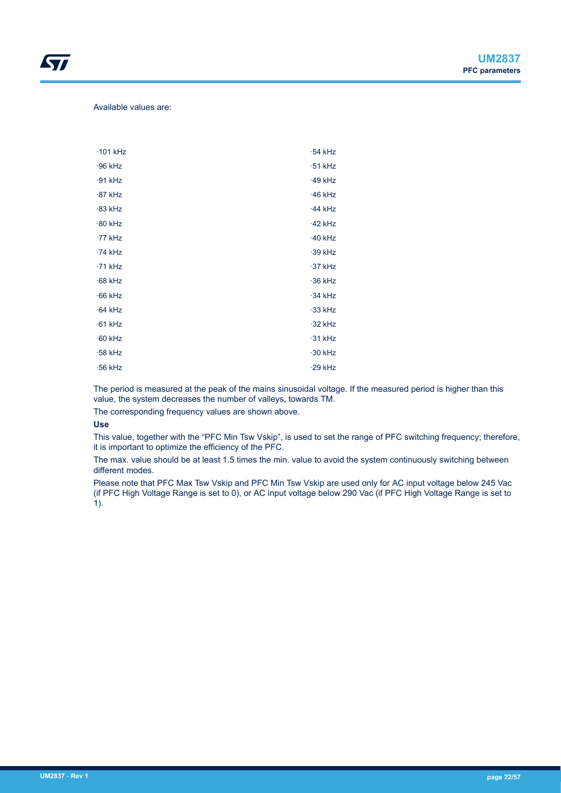Available values are:

*kyi* 

| $\cdot$ 101 kHz | $-54$ kHz |
|-----------------|-----------|
| $-96$ kHz       | $-51$ kHz |
| $-91$ kHz       | $-49$ kHz |
| $-87$ kHz       | $-46$ kHz |
| $-83$ kHz       | $-44$ kHz |
| $-80$ kHz       | $-42$ kHz |
| $-77$ kHz       | $-40$ kHz |
| $-74$ kHz       | $-39$ kHz |
| $-71$ kHz       | $-37$ kHz |
| $-68$ kHz       | $-36$ kHz |
| $-66$ kHz       | $-34$ kHz |
| $-64$ kHz       | $-33$ kHz |
| $-61$ kHz       | $-32$ kHz |
| $-60$ kHz       | $-31$ kHz |
| $-58$ kHz       | $-30$ kHz |
| $\cdot$ 56 kHz  | $-29$ kHz |

The period is measured at the peak of the mains sinusoidal voltage. If the measured period is higher than this value, the system decreases the number of valleys, towards TM.

The corresponding frequency values are shown above.

#### **Use**

This value, together with the "PFC Min Tsw Vskip", is used to set the range of PFC switching frequency; therefore, it is important to optimize the efficiency of the PFC.

The max. value should be at least 1.5 times the min. value to avoid the system continuously switching between different modes.

Please note that PFC Max Tsw Vskip and PFC Min Tsw Vskip are used only for AC input voltage below 245 Vac (if PFC High Voltage Range is set to 0), or AC input voltage below 290 Vac (if PFC High Voltage Range is set to 1).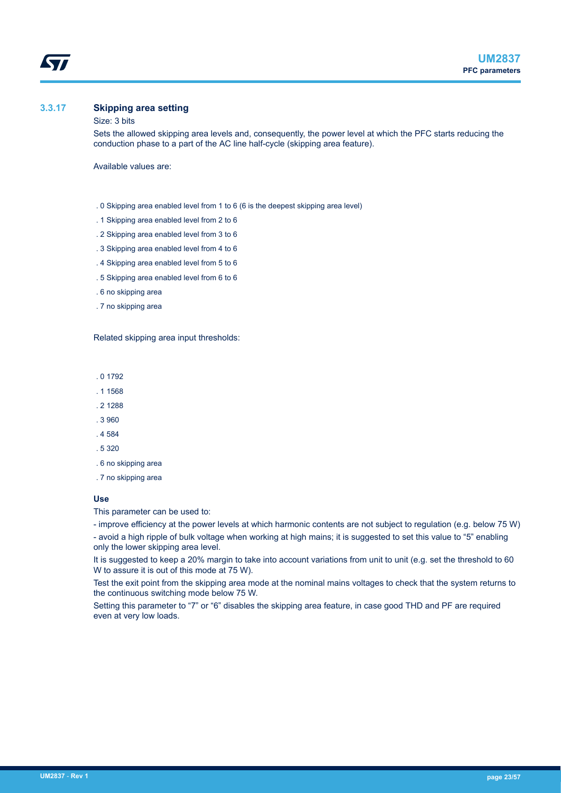<span id="page-22-0"></span>

## **3.3.17 Skipping area setting**

#### Size: 3 bits

Sets the allowed skipping area levels and, consequently, the power level at which the PFC starts reducing the conduction phase to a part of the AC line half-cycle (skipping area feature).

Available values are:

- . 0 Skipping area enabled level from 1 to 6 (6 is the deepest skipping area level)
- . 1 Skipping area enabled level from 2 to 6
- . 2 Skipping area enabled level from 3 to 6
- . 3 Skipping area enabled level from 4 to 6
- . 4 Skipping area enabled level from 5 to 6
- . 5 Skipping area enabled level from 6 to 6
- . 6 no skipping area
- . 7 no skipping area

Related skipping area input thresholds:

. 0 1792

- . 1 1568
- . 2 1288
- . 3 960
- . 4 584
- . 5 320
- . 6 no skipping area
- . 7 no skipping area

#### **Use**

This parameter can be used to:

- improve efficiency at the power levels at which harmonic contents are not subject to regulation (e.g. below 75 W)

- avoid a high ripple of bulk voltage when working at high mains; it is suggested to set this value to "5" enabling only the lower skipping area level.

It is suggested to keep a 20% margin to take into account variations from unit to unit (e.g. set the threshold to 60 W to assure it is out of this mode at 75 W).

Test the exit point from the skipping area mode at the nominal mains voltages to check that the system returns to the continuous switching mode below 75 W.

Setting this parameter to "7" or "6" disables the skipping area feature, in case good THD and PF are required even at very low loads.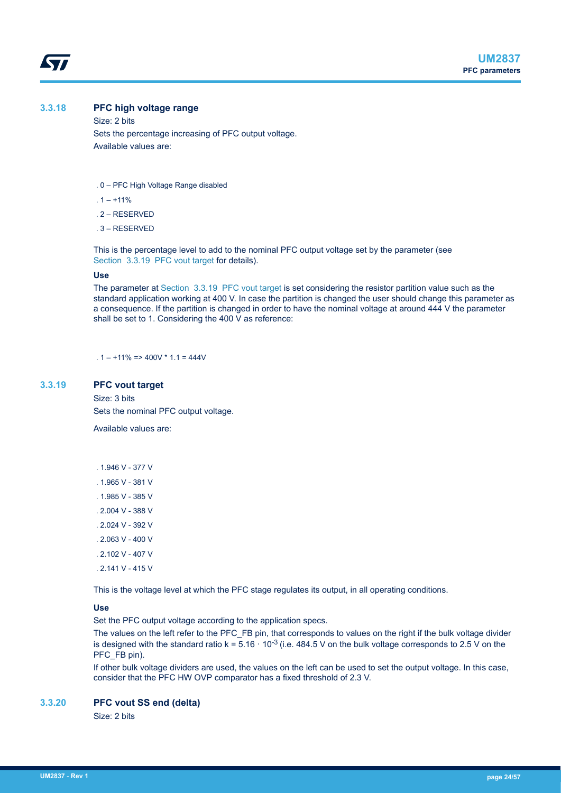#### <span id="page-23-0"></span>**3.3.18 PFC high voltage range**

Size: 2 bits Sets the percentage increasing of PFC output voltage. Available values are:

- . 0 PFC High Voltage Range disabled
- . 1 +11%
- . 2 RESERVED
- . 3 RESERVED

This is the percentage level to add to the nominal PFC output voltage set by the parameter (see Section 3.3.19 PFC vout target for details).

#### **Use**

The parameter at Section 3.3.19 PFC vout target is set considering the resistor partition value such as the standard application working at 400 V. In case the partition is changed the user should change this parameter as a consequence. If the partition is changed in order to have the nominal voltage at around 444 V the parameter shall be set to 1. Considering the 400 V as reference:

 $1 - +11\% \Rightarrow 400V \times 11 = 444V$ 

#### **3.3.19 PFC vout target**

Size: 3 bits Sets the nominal PFC output voltage.

Available values are:

- . 1.946 V 377 V
- . 1.965 V 381 V
- . 1.985 V 385 V
- . 2.004 V 388 V
- . 2.024 V 392 V
- . 2.063 V 400 V
- . 2.102 V 407 V
- . 2.141 V 415 V

This is the voltage level at which the PFC stage regulates its output, in all operating conditions.

#### **Use**

Set the PFC output voltage according to the application specs.

The values on the left refer to the PFC\_FB pin, that corresponds to values on the right if the bulk voltage divider is designed with the standard ratio k =  $5.16 \cdot 10^{-3}$  (i.e. 484.5 V on the bulk voltage corresponds to 2.5 V on the PFC\_FB pin).

If other bulk voltage dividers are used, the values on the left can be used to set the output voltage. In this case, consider that the PFC HW OVP comparator has a fixed threshold of 2.3 V.

#### **3.3.20 PFC vout SS end (delta)**

Size: 2 bits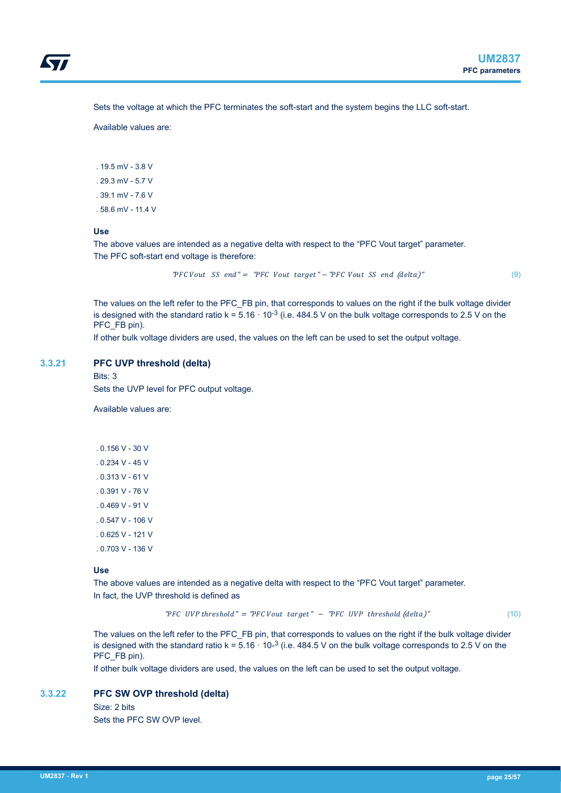<span id="page-24-0"></span>Sets the voltage at which the PFC terminates the soft-start and the system begins the LLC soft-start.

Available values are:

. 19.5 mV - 3.8 V . 29.3 mV - 5.7 V

- . 39.1 mV 7.6 V
- . 58.6 mV 11.4 V

# **Use**

The above values are intended as a negative delta with respect to the "PFC Vout target" parameter. The PFC soft-start end voltage is therefore:

 $TFC Vout SS end " = "PFC Vout target " - "PFC Vout SS end (delta)"$  (9)

The values on the left refer to the PFC\_FB pin, that corresponds to values on the right if the bulk voltage divider is designed with the standard ratio  $k = 5.16 \cdot 10^{-3}$  (i.e. 484.5 V on the bulk voltage corresponds to 2.5 V on the PFC\_FB pin).

If other bulk voltage dividers are used, the values on the left can be used to set the output voltage.

#### **3.3.21 PFC UVP threshold (delta)**

Bits: 3

Sets the UVP level for PFC output voltage.

Available values are:

. 0.156 V - 30 V . 0.234 V - 45 V  $0.313$  V - 61 V . 0.391 V - 76 V . 0.469 V - 91 V . 0.547 V - 106 V . 0.625 V - 121 V . 0.703 V - 136 V

#### **Use**

The above values are intended as a negative delta with respect to the "PFC Vout target" parameter. In fact, the UVP threshold is defined as

"PFC UVP threshold" = "PFC Vout target" - "PFC UVP threshold  $(delta)^{n}$  (10)

The values on the left refer to the PFC\_FB pin, that corresponds to values on the right if the bulk voltage divider is designed with the standard ratio  $k = 5.16 \cdot 10^{-3}$  (i.e. 484.5 V on the bulk voltage corresponds to 2.5 V on the PFC\_FB pin).

If other bulk voltage dividers are used, the values on the left can be used to set the output voltage.

## **3.3.22 PFC SW OVP threshold (delta)**

Size: 2 bits Sets the PFC SW OVP level.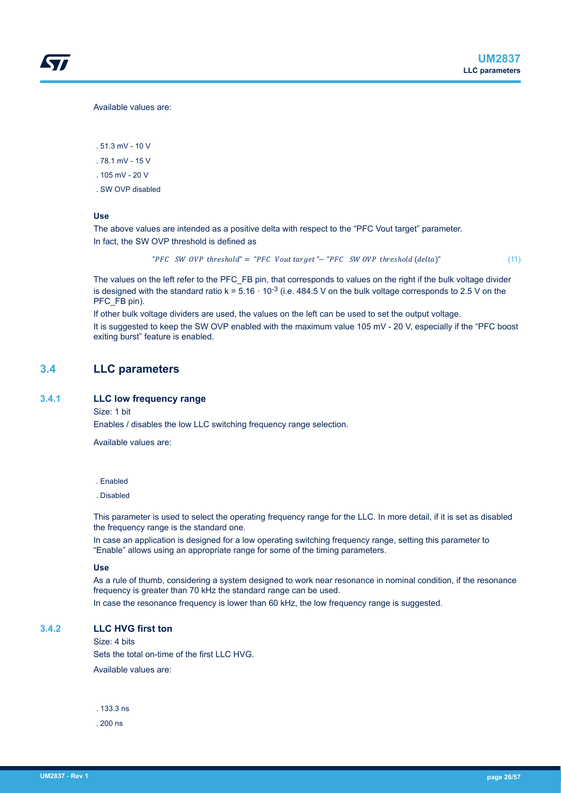<span id="page-25-0"></span>Available values are:

. 51.3 mV - 10 V

- . 78.1 mV 15 V
- . 105 mV 20 V
- . SW OVP disabled

#### **Use**

The above values are intended as a positive delta with respect to the "PFC Vout target" parameter. In fact, the SW OVP threshold is defined as

"PFC SW OVP threshold" = "PFC Vout target"– "PFC SW OVP threshold  $(delta)^{n}$  (11)

The values on the left refer to the PFC\_FB pin, that corresponds to values on the right if the bulk voltage divider is designed with the standard ratio k =  $5.16 \cdot 10^{-3}$  (i.e. 484.5 V on the bulk voltage corresponds to 2.5 V on the PFC\_FB pin).

If other bulk voltage dividers are used, the values on the left can be used to set the output voltage. It is suggested to keep the SW OVP enabled with the maximum value 105 mV - 20 V, especially if the "PFC boost exiting burst" feature is enabled.

# **3.4 LLC parameters**

#### **3.4.1 LLC low frequency range**

Size: 1 bit

Enables / disables the low LLC switching frequency range selection.

Available values are:

. Enabled

. Disabled

This parameter is used to select the operating frequency range for the LLC. In more detail, if it is set as disabled the frequency range is the standard one.

In case an application is designed for a low operating switching frequency range, setting this parameter to "Enable" allows using an appropriate range for some of the timing parameters.

#### **Use**

As a rule of thumb, considering a system designed to work near resonance in nominal condition, if the resonance frequency is greater than 70 kHz the standard range can be used.

In case the resonance frequency is lower than 60 kHz, the low frequency range is suggested.

#### **3.4.2 LLC HVG first ton**

Size: 4 bits Sets the total on-time of the first LLC HVG. Available values are:

. 133.3 ns

. 200 ns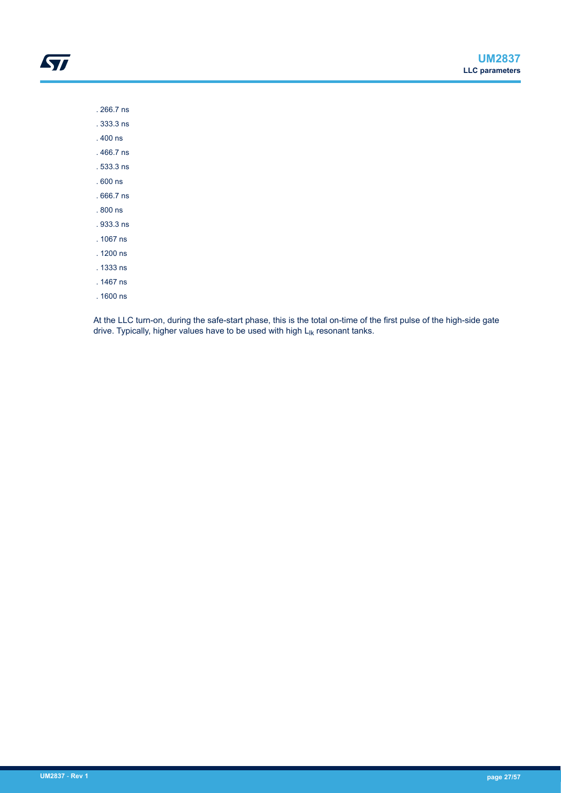. 266.7 ns . 333.3 ns

ST

. 400 ns

. 466.7 ns

. 533.3 ns

. 600 ns

. 666.7 ns

. 800 ns

. 933.3 ns

. 1067 ns

. 1200 ns

. 1333 ns

. 1467 ns

. 1600 ns

At the LLC turn-on, during the safe-start phase, this is the total on-time of the first pulse of the high-side gate drive. Typically, higher values have to be used with high  $L_{ik}$  resonant tanks.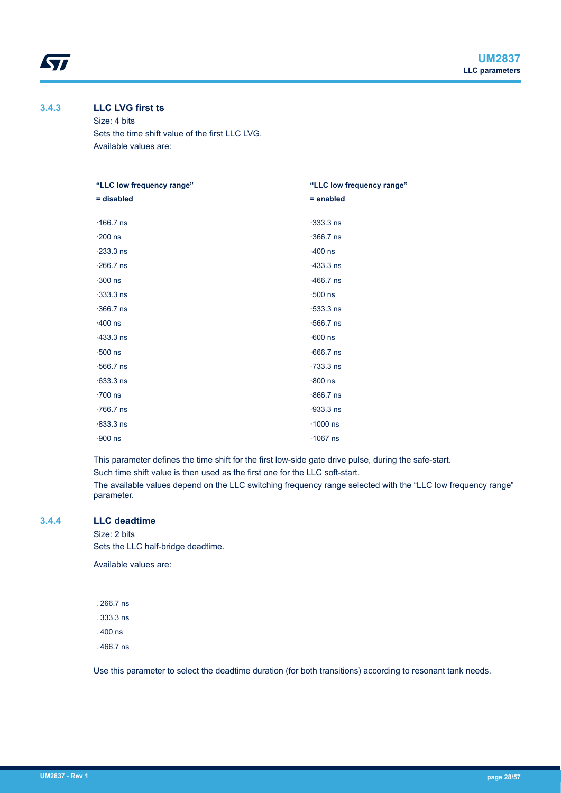<span id="page-27-0"></span>*kyi* 

#### **3.4.3 LLC LVG first ts**

Size: 4 bits Sets the time shift value of the first LLC LVG. Available values are:

| "LLC low frequency range" | "LLC low frequency range" |
|---------------------------|---------------------------|
| = disabled                | $=$ enabled               |
| $\cdot$ 166.7 ns          | $\cdot$ 333.3 ns          |
| $\cdot$ 200 ns            | $\cdot$ 366.7 ns          |
| $\cdot$ 233.3 ns          | $\cdot$ 400 ns            |
| $\cdot$ 266.7 ns          | $-433.3$ ns               |
| $\cdot$ 300 ns            | $.466.7$ ns               |
| $-333.3$ ns               | $\cdot$ 500 ns            |
| $\cdot$ 366.7 ns          | $\cdot$ 533.3 ns          |
| $\cdot$ 400 ns            | $\cdot$ 566.7 ns          |
| $-433.3$ ns               | $-600$ ns                 |
| $\cdot$ 500 ns            | $.666.7$ ns               |
| $\cdot$ 566.7 ns          | $-733.3$ ns               |
| $-633.3$ ns               | $.800$ ns                 |
| $\cdot$ 700 ns            | $.866.7$ ns               |
| $.766.7$ ns               | $-933.3$ ns               |
| $-833.3$ ns               | $\cdot$ 1000 ns           |
| $-900$ ns                 | $\cdot$ 1067 ns           |
|                           |                           |

This parameter defines the time shift for the first low-side gate drive pulse, during the safe-start.

Such time shift value is then used as the first one for the LLC soft-start.

The available values depend on the LLC switching frequency range selected with the "LLC low frequency range" parameter.

#### **3.4.4 LLC deadtime**

Size: 2 bits Sets the LLC half-bridge deadtime.

Available values are:

- . 266.7 ns
- . 333.3 ns
- . 400 ns
- . 466.7 ns

Use this parameter to select the deadtime duration (for both transitions) according to resonant tank needs.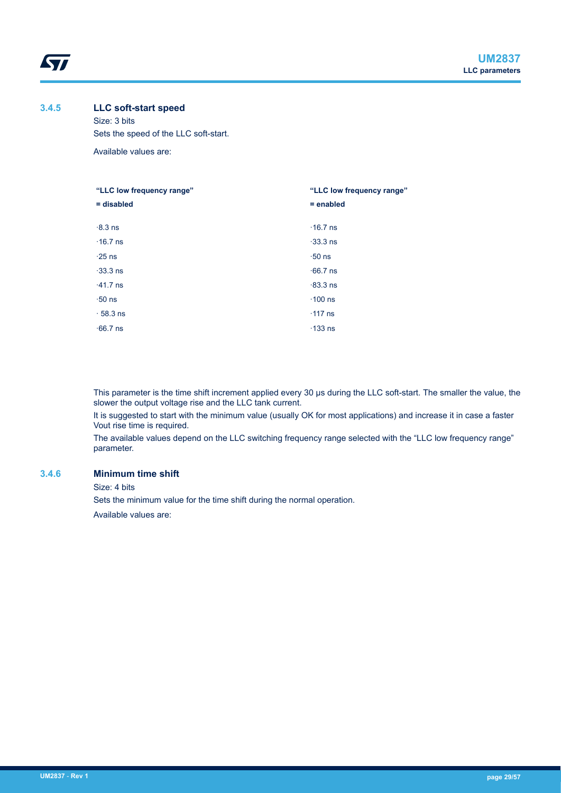# **3.4.5 LLC soft-start speed**

<span id="page-28-0"></span>*kyi* 

Size: 3 bits Sets the speed of the LLC soft-start. Available values are:

| "LLC low frequency range" | "LLC low frequency range" |
|---------------------------|---------------------------|
| $=$ disabled              | $=$ enabled               |
| $-8.3$ ns                 | $\cdot$ 16.7 ns           |
| $\cdot$ 16.7 ns           | $-33.3$ ns                |
| $\cdot$ 25 ns             | $\cdot 50$ ns             |
| $-33.3$ ns                | $-66.7$ ns                |
| $\cdot$ 41.7 ns           | $-83.3$ ns                |
| $\cdot$ 50 ns             | $\cdot$ 100 ns            |
| $\cdot$ 58.3 ns           | $\cdot$ 117 ns            |
| $-66.7$ ns                | $\cdot$ 133 ns            |

This parameter is the time shift increment applied every 30 μs during the LLC soft-start. The smaller the value, the slower the output voltage rise and the LLC tank current.

It is suggested to start with the minimum value (usually OK for most applications) and increase it in case a faster Vout rise time is required.

The available values depend on the LLC switching frequency range selected with the "LLC low frequency range" parameter.

#### **3.4.6 Minimum time shift**

Size: 4 bits

Sets the minimum value for the time shift during the normal operation.

Available values are: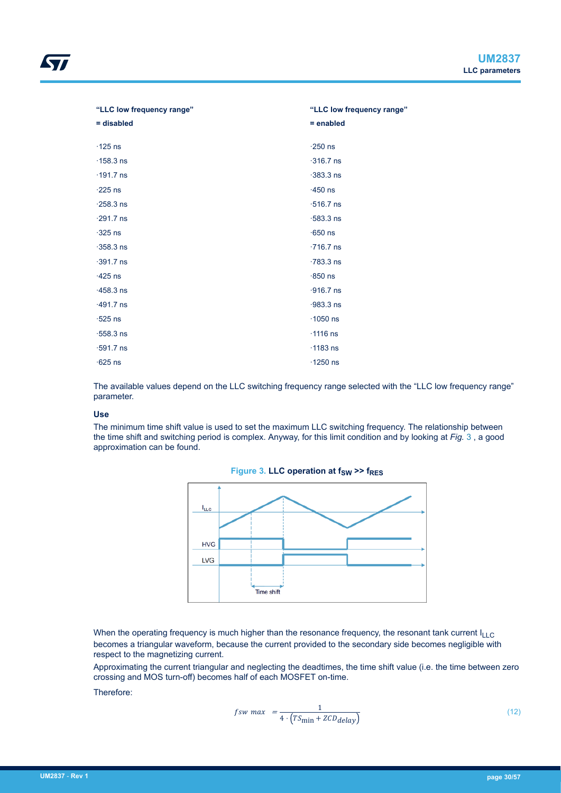Approximating the current triangular and neglecting the deadtimes, the time shift value (i.e. the time between zero crossing and MOS turn-off) becomes half of each MOSFET on-time.

Therefore:

$$
fsw \ max = \frac{1}{4 \cdot (TS_{\min} + ZCD_{delay})}
$$
 (12)

| = disabled       | $=$ enabled      |
|------------------|------------------|
| $\cdot$ 125 ns   | $\cdot$ 250 ns   |
| $\cdot$ 158.3 ns | $\cdot$ 316.7 ns |
| $\cdot$ 191.7 ns | $-383.3$ ns      |
| $\cdot$ 225 ns   | $-450$ ns        |
| $\cdot$ 258.3 ns | $\cdot$ 516.7 ns |
| $\cdot$ 291.7 ns | $-583.3$ ns      |
| $\cdot$ 325 ns   | $\cdot$ 650 ns   |
| $-358.3$ ns      | $\cdot$ 716.7 ns |
| $\cdot$ 391.7 ns | $-783.3$ ns      |
| $-425$ ns        | $-850$ ns        |
| $-458.3$ ns      | $-916.7$ ns      |
| $\cdot$ 491.7 ns | $-983.3$ ns      |
| $\cdot$ 525 ns   | $\cdot$ 1050 ns  |
| $\cdot$ 558.3 ns | $\cdot$ 1116 ns  |
| $\cdot$ 591.7 ns | $\cdot$ 1183 ns  |
| $-625$ ns        | $\cdot$ 1250 ns  |

The available values depend on the LLC switching frequency range selected with the "LLC low frequency range" parameter.

**"LLC low frequency range"**

#### **Use**

The minimum time shift value is used to set the maximum LLC switching frequency. The relationship between the time shift and switching period is complex. Anyway, for this limit condition and by looking at *Fig.* 3 , a good approximation can be found.



**Figure 3. LLC operation at**  $f_{SW}$  **>>**  $f_{RES}$ 

<span id="page-29-0"></span>**"LLC low frequency range"**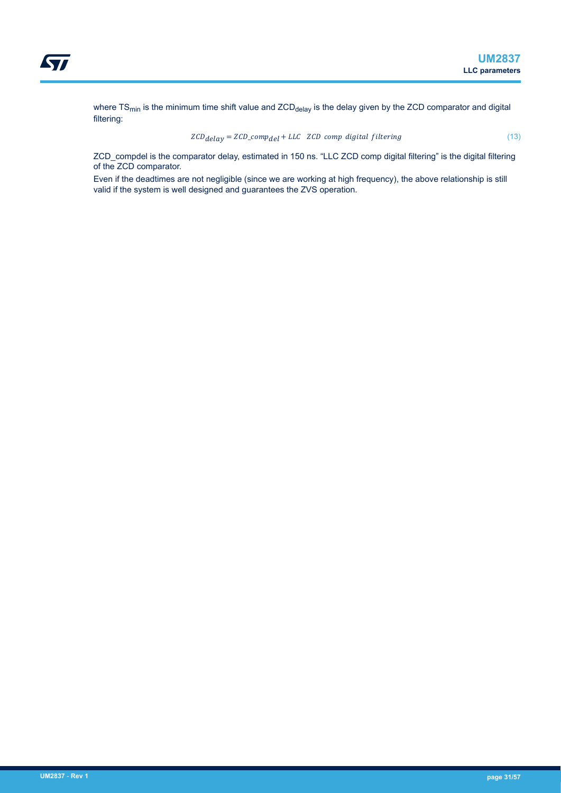where TS<sub>min</sub> is the minimum time shift value and ZCD<sub>delay</sub> is the delay given by the ZCD comparator and digital filtering:

$$
ZCD_{delay} = ZCD_{\text{comp}} + LLC \quad ZCD \, comp \, digital \, filtering \tag{13}
$$

ZCD\_compdel is the comparator delay, estimated in 150 ns. "LLC ZCD comp digital filtering" is the digital filtering of the ZCD comparator.

Even if the deadtimes are not negligible (since we are working at high frequency), the above relationship is still valid if the system is well designed and guarantees the ZVS operation.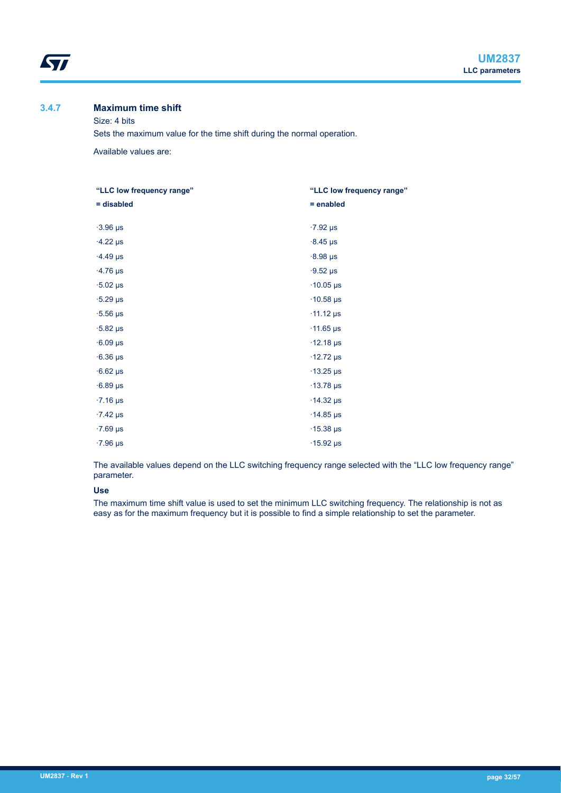# **3.4.7 Maximum time shift**

<span id="page-31-0"></span>**ST** 

Size: 4 bits

Sets the maximum value for the time shift during the normal operation.

Available values are:

| "LLC low frequency range" | "LLC low frequency range"   |
|---------------------------|-----------------------------|
| = disabled                | $=$ enabled                 |
|                           |                             |
| $\cdot$ 3.96 µs           | $\cdot$ 7.92 µs             |
| $-4.22 \,\mu s$           | $-8.45 \,\mu s$             |
| $-4.49$ µs                | $-8.98 \,\mu s$             |
| $\cdot$ 4.76 µs           | $-9.52 \text{ }\mu\text{s}$ |
| $\cdot 5.02$ µs           | $\cdot$ 10.05 µs            |
| $\cdot$ 5.29 µs           | $\cdot$ 10.58 µs            |
| $\cdot$ 5.56 µs           | $\cdot$ 11.12 µs            |
| $\cdot$ 5.82 µs           | $\cdot$ 11.65 µs            |
| $-6.09$ µs                | $\cdot$ 12.18 µs            |
| $-6.36 \,\mu s$           | $\cdot$ 12.72 µs            |
| $-6.62 \,\mu s$           | $\cdot$ 13.25 µs            |
| $-6.89$ µs                | $\cdot$ 13.78 µs            |
| $\cdot$ 7.16 µs           | $\cdot$ 14.32 µs            |
| $-7.42 \,\mu s$           | $\cdot$ 14.85 µs            |
| $\cdot$ 7.69 µs           | $\cdot$ 15.38 µs            |
| $\cdot$ 7.96 µs           | $\cdot$ 15.92 µs            |

The available values depend on the LLC switching frequency range selected with the "LLC low frequency range" parameter.

# **Use**

The maximum time shift value is used to set the minimum LLC switching frequency. The relationship is not as easy as for the maximum frequency but it is possible to find a simple relationship to set the parameter.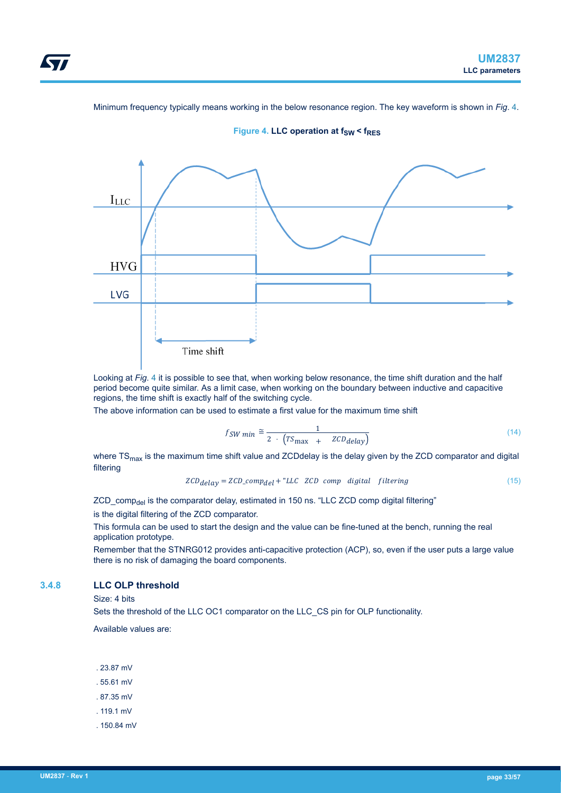<span id="page-32-0"></span>Minimum frequency typically means working in the below resonance region. The key waveform is shown in *Fig*. 4.



**Figure 4. LLC operation at**  $f_{SW} < f_{RES}$ 

Looking at *Fig*. 4 it is possible to see that, when working below resonance, the time shift duration and the half period become quite similar. As a limit case, when working on the boundary between inductive and capacitive regions, the time shift is exactly half of the switching cycle.

The above information can be used to estimate a first value for the maximum time shift

$$
fSW min \approx \frac{1}{2 \cdot (TS_{\text{max}} + ZCD_{\text{delay}})}
$$
\n<sup>(14)</sup>

where TS<sub>max</sub> is the maximum time shift value and ZCDdelay is the delay given by the ZCD comparator and digital filtering

$$
ZCD_{delay} = ZCD\_comp_{del} + "LLC \ ZCD \ comp \ digital \ filtering
$$
 (15)

ZCD comp<sub>del</sub> is the comparator delay, estimated in 150 ns. "LLC ZCD comp digital filtering"

is the digital filtering of the ZCD comparator.

This formula can be used to start the design and the value can be fine-tuned at the bench, running the real application prototype.

Remember that the STNRG012 provides anti-capacitive protection (ACP), so, even if the user puts a large value there is no risk of damaging the board components.

# **3.4.8 LLC OLP threshold**

Size: 4 bits

Sets the threshold of the LLC OC1 comparator on the LLC\_CS pin for OLP functionality.

Available values are:

- . 23.87 mV
- . 55.61 mV
- . 87.35 mV
- . 119.1 mV
- . 150.84 mV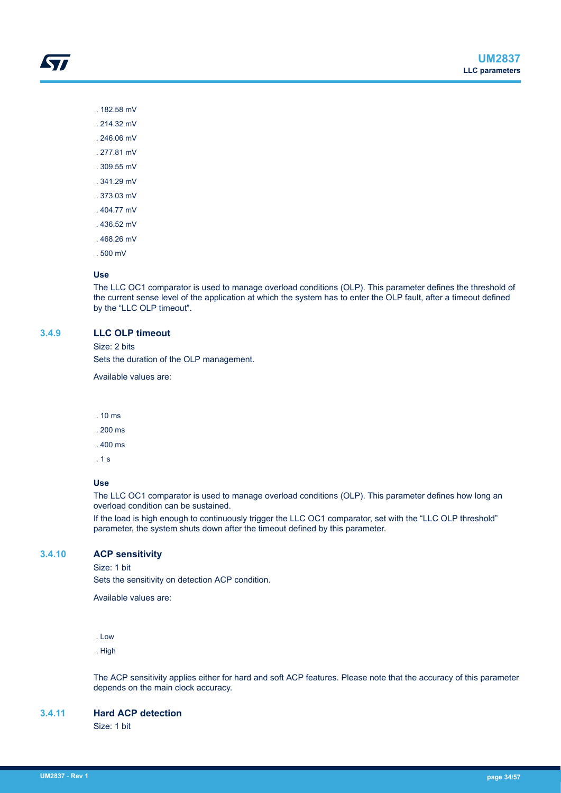. 182.58 mV

<span id="page-33-0"></span>57

- . 214.32 mV
- . 246.06 mV
- . 277.81 mV
- . 309.55 mV
- . 341.29 mV
- . 373.03 mV
- . 404.77 mV
- . 436.52 mV
- . 468.26 mV
- . 500 mV

#### **Use**

The LLC OC1 comparator is used to manage overload conditions (OLP). This parameter defines the threshold of the current sense level of the application at which the system has to enter the OLP fault, after a timeout defined by the "LLC OLP timeout".

#### **3.4.9 LLC OLP timeout**

Size: 2 bits

Sets the duration of the OLP management.

Available values are:

- . 10 ms
- . 200 ms
- . 400 ms
- . 1 s

#### **Use**

The LLC OC1 comparator is used to manage overload conditions (OLP). This parameter defines how long an overload condition can be sustained.

If the load is high enough to continuously trigger the LLC OC1 comparator, set with the "LLC OLP threshold" parameter, the system shuts down after the timeout defined by this parameter.

# **3.4.10 ACP sensitivity**

Size: 1 bit

Sets the sensitivity on detection ACP condition.

Available values are:

. Low

. High

The ACP sensitivity applies either for hard and soft ACP features. Please note that the accuracy of this parameter depends on the main clock accuracy.

#### **3.4.11 Hard ACP detection**

Size: 1 bit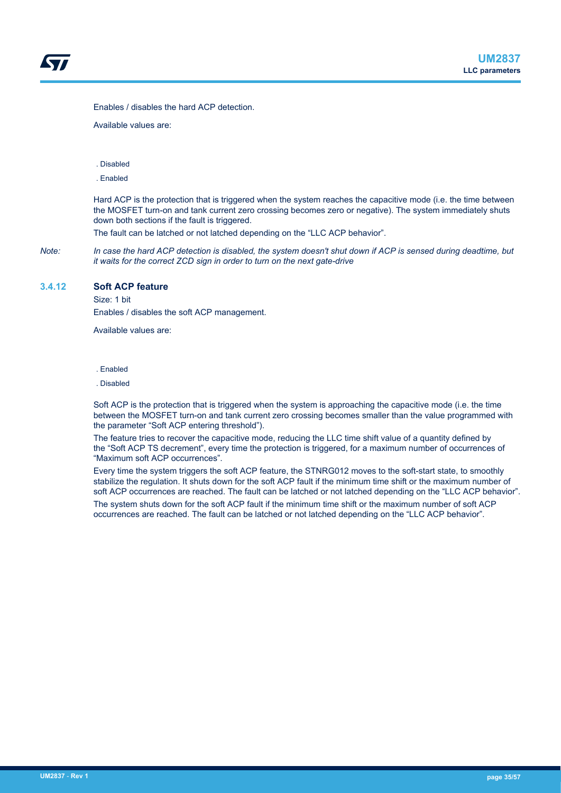<span id="page-34-0"></span>Enables / disables the hard ACP detection.

Available values are:

. Disabled

. Enabled

Hard ACP is the protection that is triggered when the system reaches the capacitive mode (i.e. the time between the MOSFET turn-on and tank current zero crossing becomes zero or negative). The system immediately shuts down both sections if the fault is triggered.

The fault can be latched or not latched depending on the "LLC ACP behavior".

*Note: In case the hard ACP detection is disabled, the system doesn't shut down if ACP is sensed during deadtime, but it waits for the correct ZCD sign in order to turn on the next gate-drive*

# **3.4.12 Soft ACP feature**

Size: 1 bit Enables / disables the soft ACP management.

Available values are:

. Enabled

. Disabled

Soft ACP is the protection that is triggered when the system is approaching the capacitive mode (i.e. the time between the MOSFET turn-on and tank current zero crossing becomes smaller than the value programmed with the parameter "Soft ACP entering threshold").

The feature tries to recover the capacitive mode, reducing the LLC time shift value of a quantity defined by the "Soft ACP TS decrement", every time the protection is triggered, for a maximum number of occurrences of "Maximum soft ACP occurrences".

Every time the system triggers the soft ACP feature, the STNRG012 moves to the soft-start state, to smoothly stabilize the regulation. It shuts down for the soft ACP fault if the minimum time shift or the maximum number of soft ACP occurrences are reached. The fault can be latched or not latched depending on the "LLC ACP behavior".

The system shuts down for the soft ACP fault if the minimum time shift or the maximum number of soft ACP occurrences are reached. The fault can be latched or not latched depending on the "LLC ACP behavior".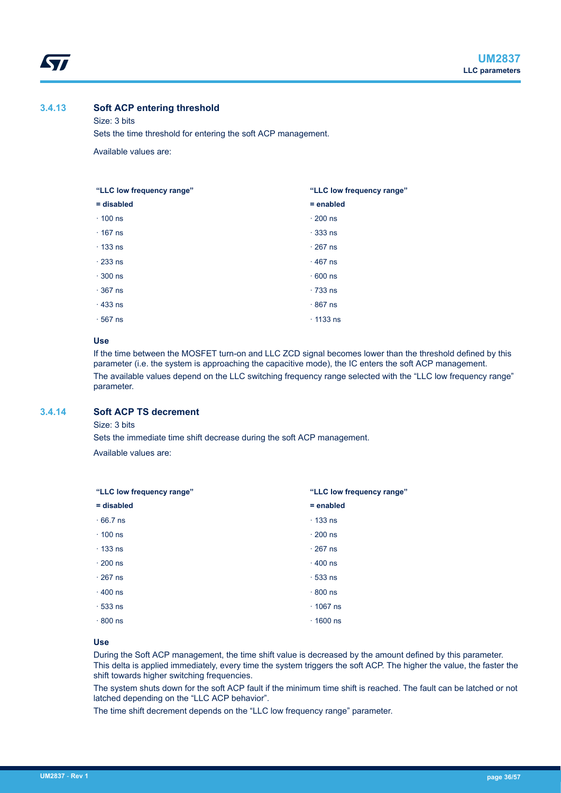# **3.4.13 Soft ACP entering threshold**

<span id="page-35-0"></span>W

Size: 3 bits Sets the time threshold for entering the soft ACP management.

Available values are:

| "LLC low frequency range" | "LLC low frequency range" |
|---------------------------|---------------------------|
| $=$ disabled              | $=$ enabled               |
| $\cdot$ 100 ns            | $\cdot$ 200 ns            |
| $\cdot$ 167 ns            | $\cdot$ 333 ns            |
| $\cdot$ 133 ns            | $\cdot$ 267 ns            |
| $\cdot$ 233 ns            | $\cdot$ 467 ns            |
| $\cdot$ 300 ns            | $\cdot$ 600 ns            |
| $\cdot$ 367 ns            | $\cdot$ 733 ns            |
| $\cdot$ 433 ns            | $\cdot$ 867 ns            |
| $\cdot$ 567 ns            | $\cdot$ 1133 ns           |

#### **Use**

If the time between the MOSFET turn-on and LLC ZCD signal becomes lower than the threshold defined by this parameter (i.e. the system is approaching the capacitive mode), the IC enters the soft ACP management. The available values depend on the LLC switching frequency range selected with the "LLC low frequency range" parameter.

# **3.4.14 Soft ACP TS decrement**

Size: 3 bits

Sets the immediate time shift decrease during the soft ACP management.

Available values are:

| "LLC low frequency range" | "LLC low frequency range" |
|---------------------------|---------------------------|
| $=$ disabled              | $=$ enabled               |
| $\cdot$ 66.7 ns           | $\cdot$ 133 ns            |
| $\cdot$ 100 ns            | $\cdot$ 200 ns            |
| $\cdot$ 133 ns            | $\cdot$ 267 ns            |
| $\cdot$ 200 ns            | $\cdot$ 400 ns            |
| $\cdot$ 267 ns            | $\cdot$ 533 ns            |
| $\cdot$ 400 ns            | $\cdot$ 800 ns            |
| $\cdot$ 533 ns            | $\cdot$ 1067 ns           |
| $\cdot$ 800 ns            | $\cdot$ 1600 ns           |

#### **Use**

During the Soft ACP management, the time shift value is decreased by the amount defined by this parameter. This delta is applied immediately, every time the system triggers the soft ACP. The higher the value, the faster the shift towards higher switching frequencies.

The system shuts down for the soft ACP fault if the minimum time shift is reached. The fault can be latched or not latched depending on the "LLC ACP behavior".

The time shift decrement depends on the "LLC low frequency range" parameter.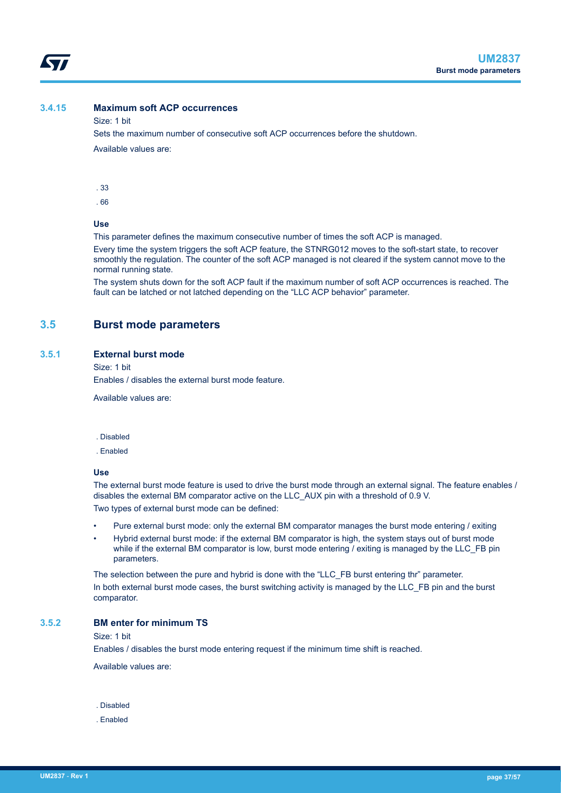# <span id="page-36-0"></span>**3.4.15 Maximum soft ACP occurrences**

#### Size: 1 bit

Sets the maximum number of consecutive soft ACP occurrences before the shutdown. Available values are:

. 33

. 66

#### **Use**

This parameter defines the maximum consecutive number of times the soft ACP is managed.

Every time the system triggers the soft ACP feature, the STNRG012 moves to the soft-start state, to recover smoothly the regulation. The counter of the soft ACP managed is not cleared if the system cannot move to the normal running state.

The system shuts down for the soft ACP fault if the maximum number of soft ACP occurrences is reached. The fault can be latched or not latched depending on the "LLC ACP behavior" parameter.

# **3.5 Burst mode parameters**

#### **3.5.1 External burst mode**

Size: 1 bit

Enables / disables the external burst mode feature.

Available values are:

#### . Disabled

. Enabled

#### **Use**

The external burst mode feature is used to drive the burst mode through an external signal. The feature enables / disables the external BM comparator active on the LLC\_AUX pin with a threshold of 0.9 V. Two types of external burst mode can be defined:

- Pure external burst mode: only the external BM comparator manages the burst mode entering / exiting
- Hybrid external burst mode: if the external BM comparator is high, the system stays out of burst mode while if the external BM comparator is low, burst mode entering / exiting is managed by the LLC\_FB pin parameters.

The selection between the pure and hybrid is done with the "LLC\_FB burst entering thr" parameter. In both external burst mode cases, the burst switching activity is managed by the LLC\_FB pin and the burst comparator.

#### **3.5.2 BM enter for minimum TS**

Size: 1 bit

Enables / disables the burst mode entering request if the minimum time shift is reached.

Available values are:

. Disabled

. Enabled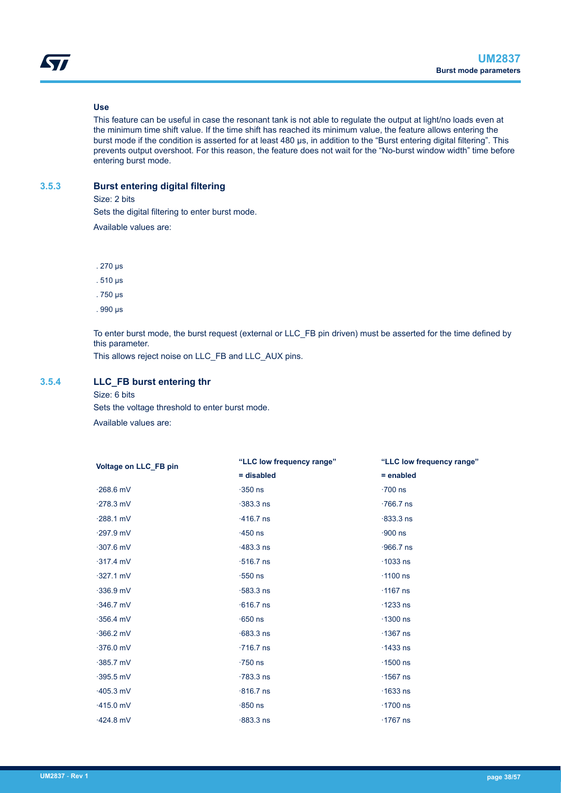#### **Use**

<span id="page-37-0"></span>W

This feature can be useful in case the resonant tank is not able to regulate the output at light/no loads even at the minimum time shift value. If the time shift has reached its minimum value, the feature allows entering the burst mode if the condition is asserted for at least 480 μs, in addition to the "Burst entering digital filtering". This prevents output overshoot. For this reason, the feature does not wait for the "No-burst window width" time before entering burst mode.

## **3.5.3 Burst entering digital filtering**

Size: 2 bits

Sets the digital filtering to enter burst mode.

Available values are:

. 270 μs

. 510 μs

. 750 μs

. 990 μs

To enter burst mode, the burst request (external or LLC\_FB pin driven) must be asserted for the time defined by this parameter.

This allows reject noise on LLC\_FB and LLC\_AUX pins.

# **3.5.4 LLC\_FB burst entering thr**

#### Size: 6 bits

Sets the voltage threshold to enter burst mode. Available values are:

| Voltage on LLC FB pin | "LLC low frequency range" | "LLC low frequency range" |
|-----------------------|---------------------------|---------------------------|
|                       | = disabled                | $=$ enabled               |
| $\cdot$ 268.6 mV      | $-350$ ns                 | $\cdot 700$ ns            |
| $\cdot$ 278.3 mV      | $-383.3$ ns               | $.766.7$ ns               |
| $-288.1$ mV           | $\cdot$ 416.7 ns          | $-833.3$ ns               |
| $\cdot$ 297.9 mV      | $-450$ ns                 | $-900$ ns                 |
| $\cdot$ 307.6 mV      | $-483.3$ ns               | $.966.7$ ns               |
| $-317.4$ mV           | $\cdot$ 516.7 ns          | $\cdot$ 1033 ns           |
| $-327.1$ mV           | $\cdot 550$ ns            | $\cdot$ 1100 ns           |
| $-336.9$ mV           | $\cdot$ 583.3 ns          | $\cdot$ 1167 ns           |
| $-346.7$ mV           | $\cdot$ 616.7 ns          | $\cdot$ 1233 ns           |
| $-356.4$ mV           | $\cdot$ 650 ns            | $\cdot$ 1300 ns           |
| $-366.2$ mV           | $-683.3$ ns               | $\cdot$ 1367 ns           |
| $-376.0$ mV           | $\cdot$ 716.7 ns          | $\cdot$ 1433 ns           |
| $-385.7$ mV           | $\cdot$ 750 ns            | $\cdot$ 1500 ns           |
| $\cdot$ 395.5 mV      | $-783.3$ ns               | $\cdot$ 1567 ns           |
| $-405.3$ mV           | $\cdot$ 816.7 ns          | $\cdot$ 1633 ns           |
| $\cdot$ 415.0 mV      | $\cdot$ 850 ns            | $\cdot$ 1700 ns           |
| $-424.8$ mV           | $\cdot$ 883.3 ns          | $\cdot$ 1767 ns           |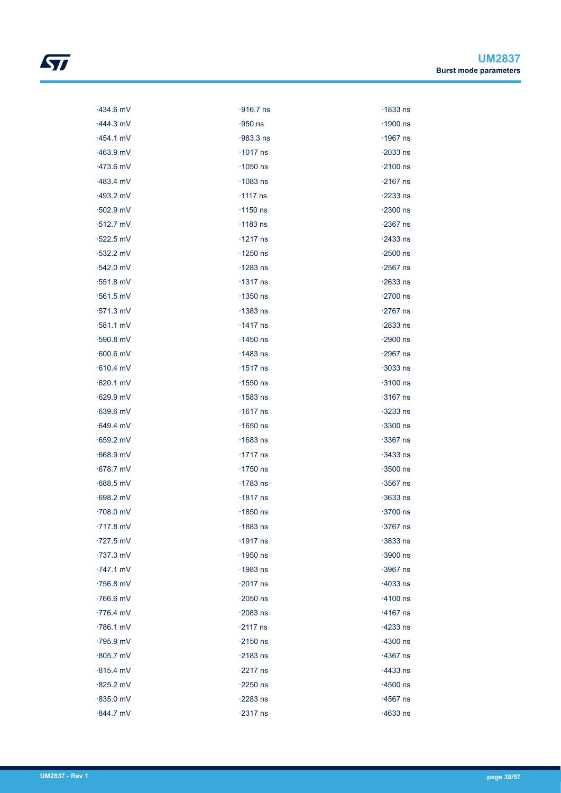| $-434.6$ mV      | $\cdot$ 916.7 ns | $\cdot$ 1833 ns |
|------------------|------------------|-----------------|
| $-444.3$ mV      | $-950$ ns        | $\cdot$ 1900 ns |
| $-454.1$ mV      | $-983.3$ ns      | $\cdot$ 1967 ns |
| $-463.9$ mV      | $\cdot$ 1017 ns  | $\cdot$ 2033 ns |
| $-473.6$ mV      | $\cdot$ 1050 ns  | $\cdot$ 2100 ns |
| $-483.4$ mV      | $\cdot$ 1083 ns  | $\cdot$ 2167 ns |
| $-493.2$ mV      | $\cdot$ 1117 ns  | $\cdot$ 2233 ns |
| $-502.9$ mV      | $\cdot$ 1150 ns  | $\cdot$ 2300 ns |
| $-512.7$ mV      | $\cdot$ 1183 ns  | $\cdot$ 2367 ns |
| $\cdot$ 522.5 mV | $\cdot$ 1217 ns  | $-2433$ ns      |
| $-532.2$ mV      | $\cdot$ 1250 ns  | $\cdot$ 2500 ns |
| $-542.0$ mV      | $\cdot$ 1283 ns  | $\cdot$ 2567 ns |
| $\cdot$ 551.8 mV | $\cdot$ 1317 ns  | $-2633$ ns      |
| $\cdot$ 561.5 mV | $\cdot$ 1350 ns  | $\cdot$ 2700 ns |
| $-571.3$ mV      | $\cdot$ 1383 ns  | $\cdot$ 2767 ns |
| $-581.1$ mV      | $\cdot$ 1417 ns  | $\cdot$ 2833 ns |
| $-590.8$ mV      | $\cdot$ 1450 ns  | $\cdot$ 2900 ns |
| $-600.6$ mV      | $\cdot$ 1483 ns  | $\cdot$ 2967 ns |
| $-610.4$ mV      | $\cdot$ 1517 ns  | $\cdot$ 3033 ns |
| $-620.1$ mV      | $\cdot$ 1550 ns  | $\cdot$ 3100 ns |
| $-629.9$ mV      | $\cdot$ 1583 ns  | $\cdot$ 3167 ns |
| $-639.6$ mV      | $\cdot$ 1617 ns  | $-3233$ ns      |
| $-649.4$ mV      | $\cdot$ 1650 ns  | $\cdot$ 3300 ns |
| $-659.2$ mV      | $\cdot$ 1683 ns  | $-3367$ ns      |
| $-668.9$ mV      | $\cdot$ 1717 ns  | $\cdot$ 3433 ns |
| $-678.7$ mV      | $\cdot$ 1750 ns  | $\cdot$ 3500 ns |
| $-688.5$ mV      | $\cdot$ 1783 ns  | $\cdot$ 3567 ns |
| $-698.2$ mV      | $\cdot$ 1817 ns  | $-3633$ ns      |
| $\cdot$ 708.0 mV | $\cdot$ 1850 ns  | $\cdot$ 3700 ns |
| $\cdot$ 717.8 mV | $\cdot$ 1883 ns  | $\cdot$ 3767 ns |
| $\cdot$ 727.5 mV | $\cdot$ 1917 ns  | $-3833$ ns      |
| $-737.3$ mV      | $\cdot$ 1950 ns  | $-3900$ ns      |
| $-747.1$ mV      | $\cdot$ 1983 ns  | $-3967$ ns      |
| $-756.8$ mV      | $\cdot$ 2017 ns  | $-4033$ ns      |
| $\cdot$ 766.6 mV | $\cdot$ 2050 ns  | $\cdot$ 4100 ns |
| $-776.4$ mV      | $-2083$ ns       | $\cdot$ 4167 ns |
| $-786.1$ mV      | $\cdot$ 2117 ns  | $-4233$ ns      |
| $-795.9$ mV      | $\cdot$ 2150 ns  | $-4300$ ns      |
| $-805.7$ mV      | $\cdot$ 2183 ns  | $-4367$ ns      |
| $-815.4$ mV      | $\cdot$ 2217 ns  | $-4433$ ns      |
| $-825.2$ mV      | $\cdot$ 2250 ns  | $\cdot$ 4500 ns |
| $-835.0$ mV      | $-2283$ ns       | $\cdot$ 4567 ns |
| $-844.7$ mV      | $-2317$ ns       | $-4633$ ns      |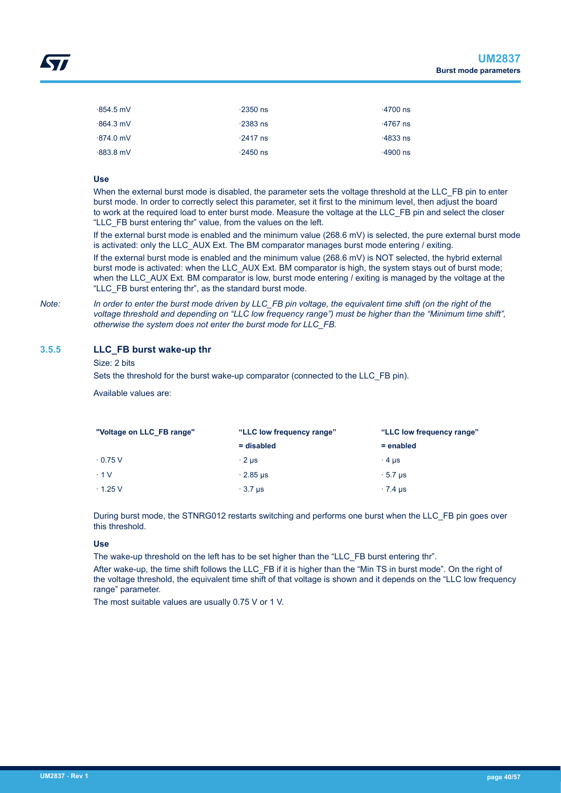<span id="page-39-0"></span>

| $\cdot$ 854.5 mV | $\cdot$ 2350 ns | $\cdot$ 4700 ns |
|------------------|-----------------|-----------------|
| $-864.3$ mV      | $\cdot$ 2383 ns | $\cdot$ 4767 ns |
| $-874.0$ mV      | $\cdot$ 2417 ns | $\cdot$ 4833 ns |
| $-883.8$ mV      | $\cdot$ 2450 ns | $\cdot$ 4900 ns |

#### **Use**

When the external burst mode is disabled, the parameter sets the voltage threshold at the LLC\_FB pin to enter burst mode. In order to correctly select this parameter, set it first to the minimum level, then adjust the board to work at the required load to enter burst mode. Measure the voltage at the LLC\_FB pin and select the closer "LLC\_FB burst entering thr" value, from the values on the left.

If the external burst mode is enabled and the minimum value (268.6 mV) is selected, the pure external burst mode is activated: only the LLC\_AUX Ext. The BM comparator manages burst mode entering / exiting. If the external burst mode is enabled and the minimum value (268.6 mV) is NOT selected, the hybrid external burst mode is activated: when the LLC\_AUX Ext. BM comparator is high, the system stays out of burst mode; when the LLC\_AUX Ext. BM comparator is low, burst mode entering / exiting is managed by the voltage at the "LLC\_FB burst entering thr", as the standard burst mode.

*Note: In order to enter the burst mode driven by LLC\_FB pin voltage, the equivalent time shift (on the right of the voltage threshold and depending on "LLC low frequency range") must be higher than the "Minimum time shift", otherwise the system does not enter the burst mode for LLC\_FB.*

## **3.5.5 LLC\_FB burst wake-up thr**

#### Size: 2 bits

Sets the threshold for the burst wake-up comparator (connected to the LLC\_FB pin).

Available values are:

| "Voltage on LLC FB range" | "LLC low frequency range" | "LLC low frequency range" |  |
|---------------------------|---------------------------|---------------------------|--|
|                           | = disabled                | $=$ enabled               |  |
| $\cdot$ 0.75 V            | $\cdot$ 2 µs              | $\cdot$ 4 us              |  |
| $\cdot$ 1 V               | $\cdot$ 2.85 µs           | $\cdot$ 5.7 us            |  |
| $\cdot$ 1.25 V            | $\cdot$ 3.7 us            | $\cdot$ 7.4 µs            |  |

During burst mode, the STNRG012 restarts switching and performs one burst when the LLC\_FB pin goes over this threshold.

#### **Use**

The wake-up threshold on the left has to be set higher than the "LLC\_FB burst entering thr".

After wake-up, the time shift follows the LLC\_FB if it is higher than the "Min TS in burst mode". On the right of the voltage threshold, the equivalent time shift of that voltage is shown and it depends on the "LLC low frequency range" parameter.

The most suitable values are usually 0.75 V or 1 V.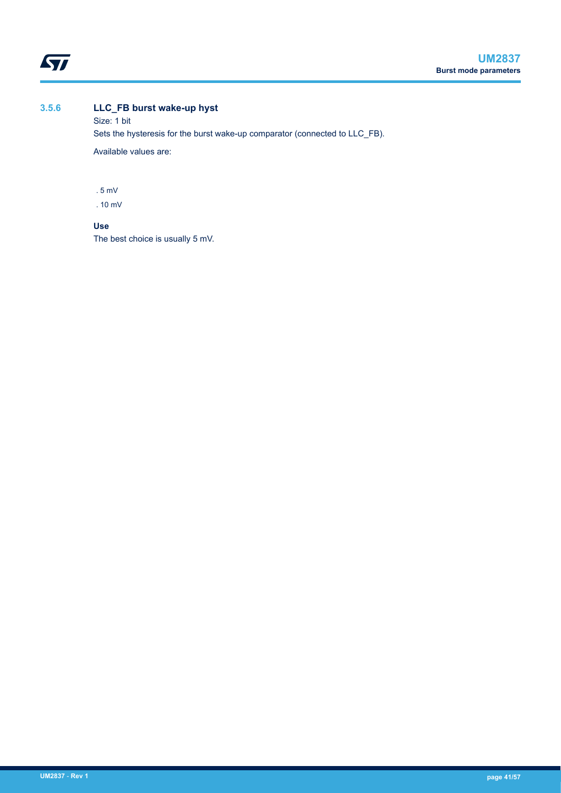<span id="page-40-0"></span>

# **3.5.6 LLC\_FB burst wake-up hyst**

Size: 1 bit Sets the hysteresis for the burst wake-up comparator (connected to LLC\_FB). Available values are:

. 5 mV

. 10 mV

# **Use**

The best choice is usually 5 mV.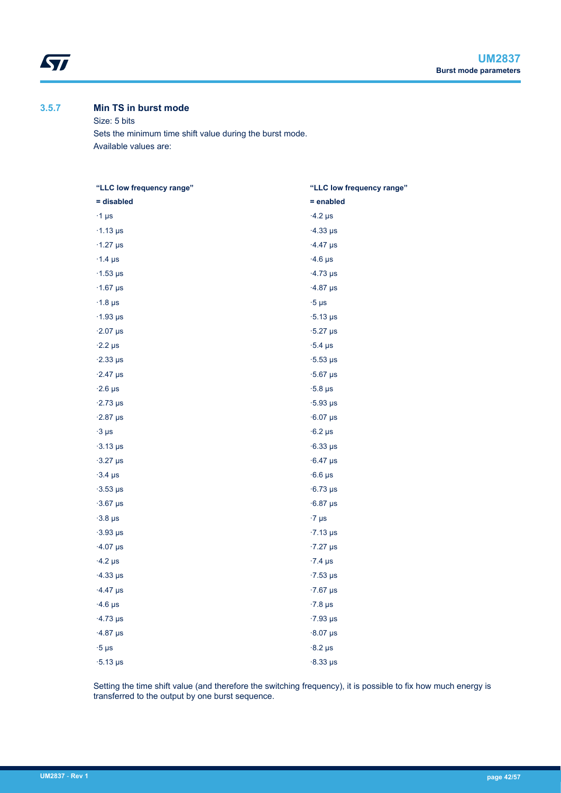# **3.5.7 Min TS in burst mode**

<span id="page-41-0"></span>ST

Size: 5 bits Sets the minimum time shift value during the burst mode. Available values are:

| "LLC low frequency range" | "LLC low frequency range"   |
|---------------------------|-----------------------------|
| = disabled                | $=$ enabled                 |
| $\cdot$ 1 µs              | $-4.2 \,\mu s$              |
| $\cdot$ 1.13 µs           | $-4.33 \,\mu s$             |
| $\cdot$ 1.27 µs           | $-4.47$ µs                  |
| $\cdot$ 1.4 µs            | $-4.6$ µs                   |
| $\cdot$ 1.53 µs           | $\cdot$ 4.73 µs             |
| $\cdot$ 1.67 µs           | $-4.87 \,\mu s$             |
| $\cdot$ 1.8 µs            | $\cdot 5 \mu s$             |
| $\cdot$ 1.93 µs           | $\cdot$ 5.13 µs             |
| $\cdot$ 2.07 µs           | $\cdot$ 5.27 µs             |
| $\cdot$ 2.2 µs            | $\cdot$ 5.4 µs              |
| $\cdot$ 2.33 µs           | $\cdot$ 5.53 µs             |
| $\cdot$ 2.47 µs           | $\cdot$ 5.67 µs             |
| $\cdot$ 2.6 µs            | $\cdot$ 5.8 µs              |
| $\cdot$ 2.73 µs           | $\cdot$ 5.93 µs             |
| $\cdot$ 2.87 µs           | $-6.07 \,\mu s$             |
| $-3 \mu s$                | $-6.2 \,\mu s$              |
| $-3.13 \,\mu s$           | $-6.33 \,\mu s$             |
| $-3.27 \,\mu s$           | $-6.47 \text{ }\mu\text{s}$ |
| $-3.4$ µs                 | $-6.6$ µs                   |
| $\cdot$ 3.53 µs           | $-6.73 \,\mu s$             |
| $-3.67 \,\mu s$           | $-6.87 \,\mu s$             |
| $-3.8$ µs                 | $\cdot$ 7 µs                |
| $-3.93 \,\mu s$           | $\cdot$ 7.13 µs             |
| $\cdot$ 4.07 µs           | $\cdot$ 7.27 µs             |
| $-4.2 \mu s$              | $-7.4 \text{ }\mu\text{s}$  |
| $\cdot$ 4.33 µs           | $\cdot$ 7.53 µs             |
| $-4.47 \,\mu s$           | $\cdot$ 7.67 µs             |
| $\cdot$ 4.6 µs            | $\cdot$ 7.8 µs              |
| $\cdot$ 4.73 µs           | $\cdot$ 7.93 µs             |
| $-4.87 \,\mu s$           | $\cdot 8.07$ µs             |
| $-5 \mu s$                | $-8.2 \,\mu s$              |
| $\cdot$ 5.13 µs           | $\cdot$ 8.33 µs             |

Setting the time shift value (and therefore the switching frequency), it is possible to fix how much energy is transferred to the output by one burst sequence.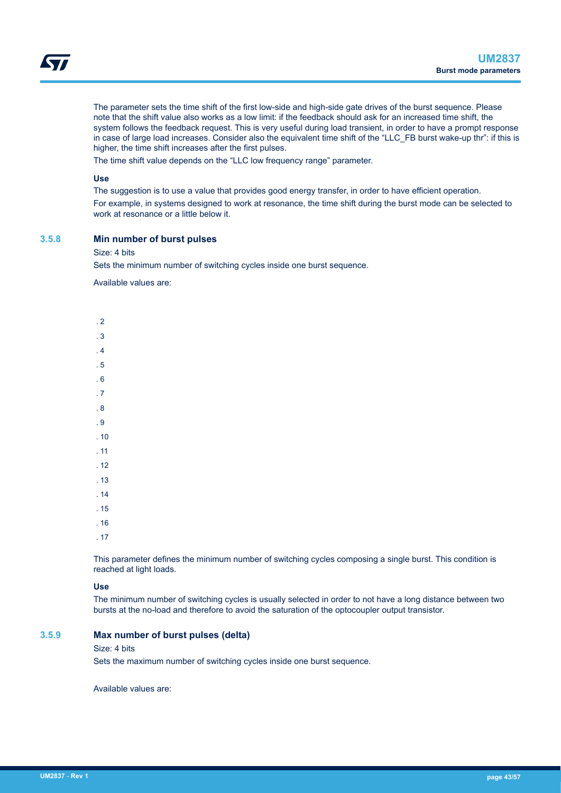<span id="page-42-0"></span>The parameter sets the time shift of the first low-side and high-side gate drives of the burst sequence. Please note that the shift value also works as a low limit: if the feedback should ask for an increased time shift, the system follows the feedback request. This is very useful during load transient, in order to have a prompt response in case of large load increases. Consider also the equivalent time shift of the "LLC\_FB burst wake-up thr": if this is higher, the time shift increases after the first pulses.

The time shift value depends on the "LLC low frequency range" parameter.

# **Use**

The suggestion is to use a value that provides good energy transfer, in order to have efficient operation. For example, in systems designed to work at resonance, the time shift during the burst mode can be selected to work at resonance or a little below it.

#### **3.5.8 Min number of burst pulses**

#### Size: 4 bits

Sets the minimum number of switching cycles inside one burst sequence.

Available values are:

| $\overline{2}$ |  |  |  |
|----------------|--|--|--|
| .3             |  |  |  |
| .4             |  |  |  |
| .5             |  |  |  |
| .6             |  |  |  |
| .7             |  |  |  |
| . $\bf 8$      |  |  |  |
| .9             |  |  |  |
| .10            |  |  |  |
| .11            |  |  |  |
| .12            |  |  |  |
| .13            |  |  |  |
| .14            |  |  |  |
| .15            |  |  |  |
| .16            |  |  |  |
| .17            |  |  |  |

This parameter defines the minimum number of switching cycles composing a single burst. This condition is reached at light loads.

#### **Use**

The minimum number of switching cycles is usually selected in order to not have a long distance between two bursts at the no-load and therefore to avoid the saturation of the optocoupler output transistor.

#### **3.5.9 Max number of burst pulses (delta)**

#### Size: 4 bits

Sets the maximum number of switching cycles inside one burst sequence.

Available values are: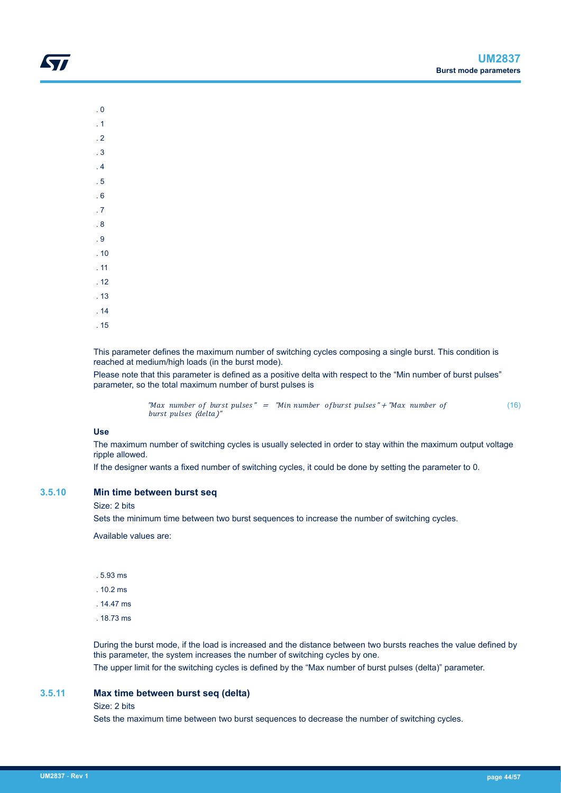- <span id="page-43-0"></span>. 0
- . 1
- . 2
- . 3
- . 4
- . 5
- . 6
- . 7
- . 8
- . 9
- . 10
- . 11
- . 12
- . 13
- . 14
- . 15

This parameter defines the maximum number of switching cycles composing a single burst. This condition is reached at medium/high loads (in the burst mode).

Please note that this parameter is defined as a positive delta with respect to the "Min number of burst pulses" parameter, so the total maximum number of burst pulses is

> "Max number of burst pulses" = "Min number of burst pulses" + "Max number of burst pulses (delta)" (16)

# **Use**

The maximum number of switching cycles is usually selected in order to stay within the maximum output voltage ripple allowed.

If the designer wants a fixed number of switching cycles, it could be done by setting the parameter to 0.

#### **3.5.10 Min time between burst seq**

#### Size: 2 bits

Sets the minimum time between two burst sequences to increase the number of switching cycles.

Available values are:

- . 5.93 ms
- . 10.2 ms
- . 14.47 ms
- . 18.73 ms

During the burst mode, if the load is increased and the distance between two bursts reaches the value defined by this parameter, the system increases the number of switching cycles by one.

The upper limit for the switching cycles is defined by the "Max number of burst pulses (delta)" parameter.

#### **3.5.11 Max time between burst seq (delta)**

#### Size: 2 bits

Sets the maximum time between two burst sequences to decrease the number of switching cycles.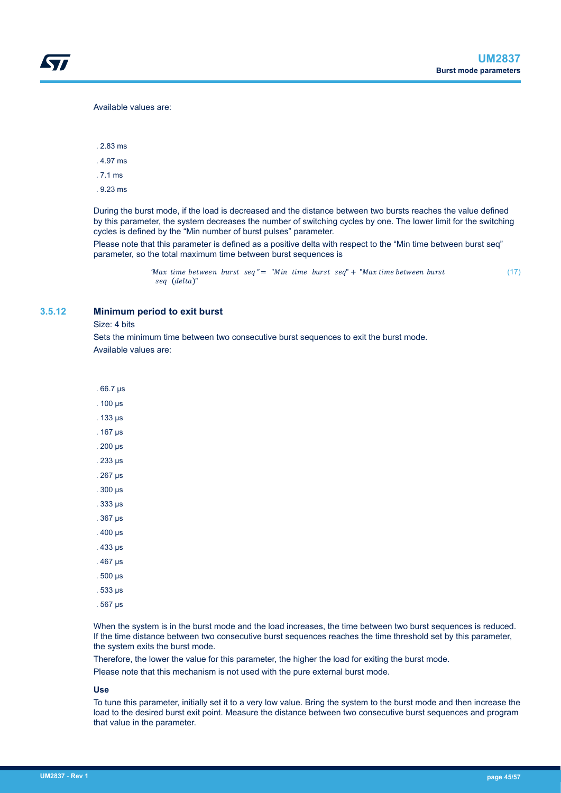#### <span id="page-44-0"></span>Available values are:

. 2.83 ms

. 4.97 ms

. 7.1 ms

. 9.23 ms

During the burst mode, if the load is decreased and the distance between two bursts reaches the value defined by this parameter, the system decreases the number of switching cycles by one. The lower limit for the switching cycles is defined by the "Min number of burst pulses" parameter.

Please note that this parameter is defined as a positive delta with respect to the "Min time between burst seq" parameter, so the total maximum time between burst sequences is

```
"Max time between burst seq" = "Min time burst seq" + "Max time between burst
seq (delta)"
                                                                                              (17)
```
#### **3.5.12 Minimum period to exit burst**

Size: 4 bits

Sets the minimum time between two consecutive burst sequences to exit the burst mode. Available values are:

. 66.7 μs . 100 μs

. 133 μs

. 167 μs

. 200 μs

. 233 μs

. 267 μs

. 300 μs

. 333 μs . 367 μs

. 400 μs

. 433 μs

. 467 μs

. 500 μs

. 533 μs

- 
- . 567 μs

When the system is in the burst mode and the load increases, the time between two burst sequences is reduced. If the time distance between two consecutive burst sequences reaches the time threshold set by this parameter, the system exits the burst mode.

Therefore, the lower the value for this parameter, the higher the load for exiting the burst mode.

Please note that this mechanism is not used with the pure external burst mode.

**Use**

To tune this parameter, initially set it to a very low value. Bring the system to the burst mode and then increase the load to the desired burst exit point. Measure the distance between two consecutive burst sequences and program that value in the parameter.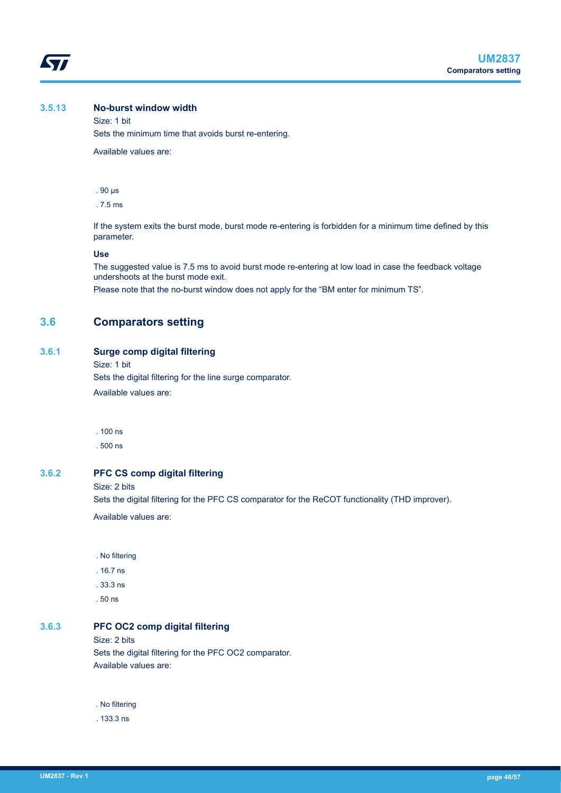<span id="page-45-0"></span>

# **3.5.13 No-burst window width**

Size: 1 bit Sets the minimum time that avoids burst re-entering.

Available values are:

. 90 μs

. 7.5 ms

If the system exits the burst mode, burst mode re-entering is forbidden for a minimum time defined by this parameter.

#### **Use**

The suggested value is 7.5 ms to avoid burst mode re-entering at low load in case the feedback voltage undershoots at the burst mode exit.

Please note that the no-burst window does not apply for the "BM enter for minimum TS".

# **3.6 Comparators setting**

#### **3.6.1 Surge comp digital filtering**

Size: 1 bit

Sets the digital filtering for the line surge comparator.

Available values are:

. 100 ns

. 500 ns

#### **3.6.2 PFC CS comp digital filtering**

Size: 2 bits

Sets the digital filtering for the PFC CS comparator for the ReCOT functionality (THD improver).

Available values are:

- . No filtering
- . 16.7 ns
- . 33.3 ns
- . 50 ns

#### **3.6.3 PFC OC2 comp digital filtering**

Size: 2 bits

Sets the digital filtering for the PFC OC2 comparator. Available values are:

. No filtering

. 133.3 ns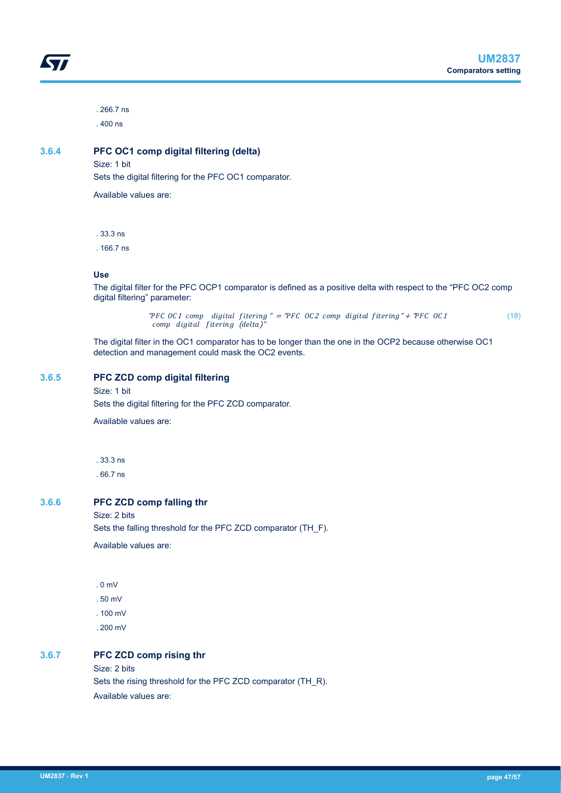<span id="page-46-0"></span>. 266.7 ns . 400 ns

# **3.6.4 PFC OC1 comp digital filtering (delta)**

Size: 1 bit

Sets the digital filtering for the PFC OC1 comparator.

Available values are:

. 33.3 ns

. 166.7 ns

#### **Use**

The digital filter for the PFC OCP1 comparator is defined as a positive delta with respect to the "PFC OC2 comp digital filtering" parameter:

> "PFC OC1 comp digital fitering  $" = "PFC$  OC2 comp digital fitering" + "PFC OC1 comp digital fitering (delta)' (18)

The digital filter in the OC1 comparator has to be longer than the one in the OCP2 because otherwise OC1 detection and management could mask the OC2 events.

#### **3.6.5 PFC ZCD comp digital filtering**

Size: 1 bit

Sets the digital filtering for the PFC ZCD comparator.

Available values are:

. 33.3 ns

. 66.7 ns

#### **3.6.6 PFC ZCD comp falling thr**

Size: 2 bits

Sets the falling threshold for the PFC ZCD comparator (TH\_F).

Available values are:

. 0 mV

. 50 mV

- . 100 mV
- . 200 mV

## **3.6.7 PFC ZCD comp rising thr**

Size: 2 bits

Sets the rising threshold for the PFC ZCD comparator (TH\_R). Available values are: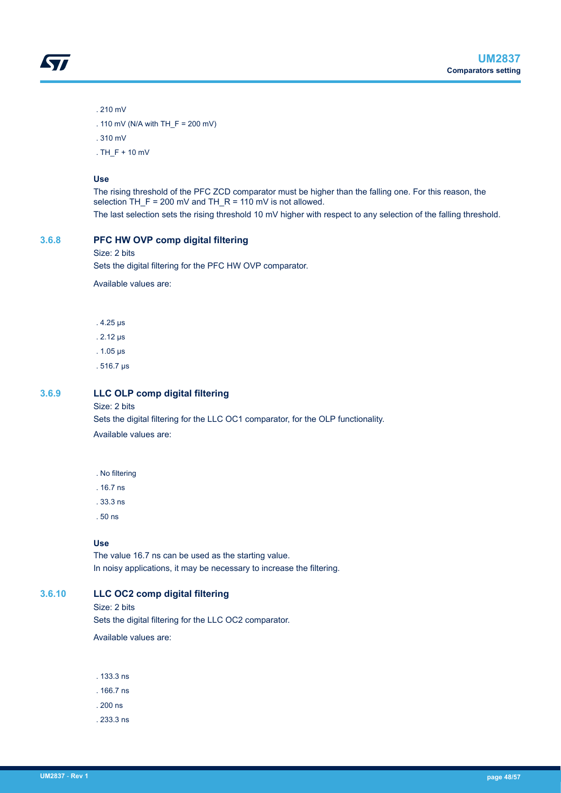<span id="page-47-0"></span>

. 210 mV

. 110 mV (N/A with TH\_F = 200 mV)

. 310 mV

. TH\_F + 10 mV

#### **Use**

The rising threshold of the PFC ZCD comparator must be higher than the falling one. For this reason, the selection TH  $F = 200$  mV and TH  $R = 110$  mV is not allowed. The last selection sets the rising threshold 10 mV higher with respect to any selection of the falling threshold.

## **3.6.8 PFC HW OVP comp digital filtering**

#### Size: 2 bits

Sets the digital filtering for the PFC HW OVP comparator.

Available values are:

. 4.25 μs

. 2.12 μs

. 1.05 μs

. 516.7 μs

# **3.6.9 LLC OLP comp digital filtering**

#### Size: 2 bits

Sets the digital filtering for the LLC OC1 comparator, for the OLP functionality. Available values are:

- . No filtering
- . 16.7 ns
- . 33.3 ns
- . 50 ns

#### **Use**

The value 16.7 ns can be used as the starting value. In noisy applications, it may be necessary to increase the filtering.

#### **3.6.10 LLC OC2 comp digital filtering**

Size: 2 bits

Sets the digital filtering for the LLC OC2 comparator.

Available values are:

. 133.3 ns

- . 166.7 ns
- . 200 ns
- . 233.3 ns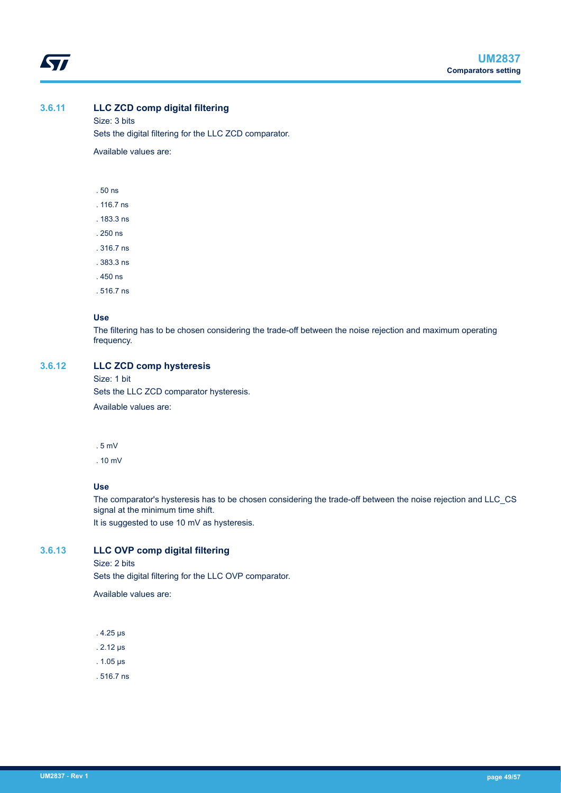<span id="page-48-0"></span>ST

# **3.6.11 LLC ZCD comp digital filtering**

Size: 3 bits Sets the digital filtering for the LLC ZCD comparator.

Available values are:

. 50 ns

. 116.7 ns

. 183.3 ns

. 250 ns

. 316.7 ns

. 383.3 ns

. 450 ns

. 516.7 ns

#### **Use**

The filtering has to be chosen considering the trade-off between the noise rejection and maximum operating frequency.

# **3.6.12 LLC ZCD comp hysteresis**

Size: 1 bit

Sets the LLC ZCD comparator hysteresis.

Available values are:

. 5 mV

. 10 mV

# **Use**

The comparator's hysteresis has to be chosen considering the trade-off between the noise rejection and LLC\_CS signal at the minimum time shift.

It is suggested to use 10 mV as hysteresis.

# **3.6.13 LLC OVP comp digital filtering**

Size: 2 bits

Sets the digital filtering for the LLC OVP comparator.

Available values are:

. 4.25 μs

. 2.12 μs

. 1.05 μs

. 516.7 ns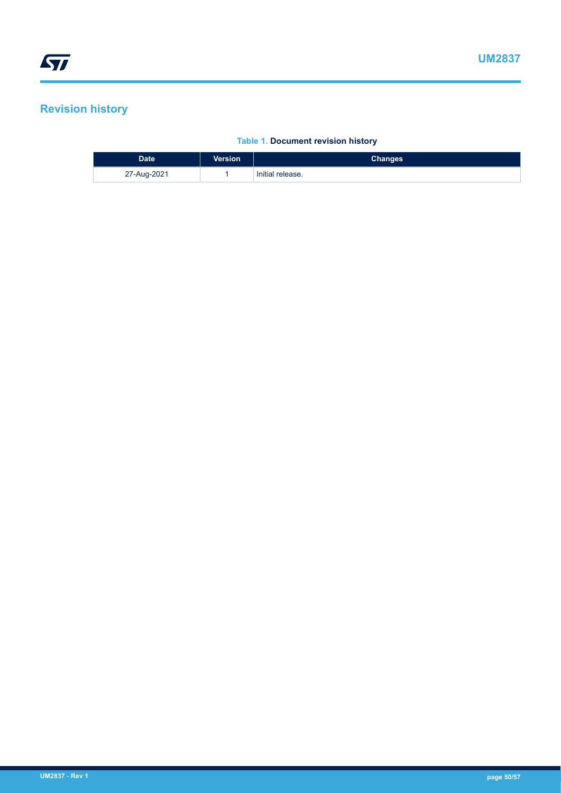# <span id="page-49-0"></span>**Revision history**

# **Table 1. Document revision history**

| <b>Date</b> | <b>Version</b> | <b>Changes</b>   |
|-------------|----------------|------------------|
| 27-Aug-2021 |                | Initial release. |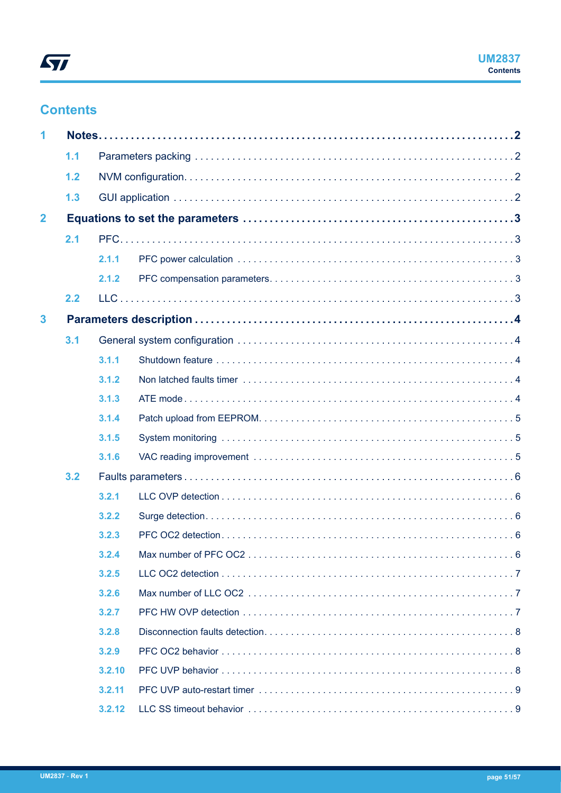# <span id="page-50-0"></span>**Contents**

| 1                       |     |        |  |
|-------------------------|-----|--------|--|
|                         | 1.1 |        |  |
|                         | 1.2 |        |  |
|                         | 1.3 |        |  |
| $\overline{2}$          |     |        |  |
|                         | 2.1 |        |  |
|                         |     | 2.1.1  |  |
|                         |     | 2.1.2  |  |
|                         | 2.2 |        |  |
| $\overline{\mathbf{3}}$ |     |        |  |
|                         | 3.1 |        |  |
|                         |     | 3.1.1  |  |
|                         |     | 3.1.2  |  |
|                         |     | 3.1.3  |  |
|                         |     | 3.1.4  |  |
|                         |     | 3.1.5  |  |
|                         |     | 3.1.6  |  |
|                         | 3.2 |        |  |
|                         |     | 3.2.1  |  |
|                         |     | 3.2.2  |  |
|                         |     | 3.2.3  |  |
|                         |     | 3.2.4  |  |
|                         |     | 3.2.5  |  |
|                         |     | 3.2.6  |  |
|                         |     | 3.2.7  |  |
|                         |     | 3.2.8  |  |
|                         |     | 3.2.9  |  |
|                         |     | 3.2.10 |  |
|                         |     | 3.2.11 |  |
|                         |     | 3.2.12 |  |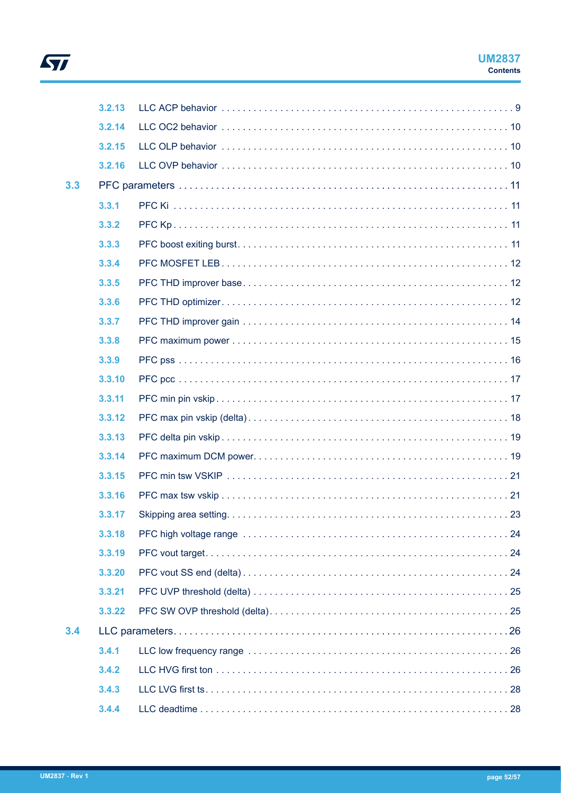

|     | 3,2,13 |  |
|-----|--------|--|
|     | 3.2.14 |  |
|     | 3.2.15 |  |
|     | 3.2.16 |  |
| 3.3 |        |  |
|     | 3.3.1  |  |
|     | 3.3.2  |  |
|     | 3.3.3  |  |
|     | 3.3.4  |  |
|     | 3.3.5  |  |
|     | 3.3.6  |  |
|     | 3.3.7  |  |
|     | 3.3.8  |  |
|     | 3.3.9  |  |
|     | 3.3.10 |  |
|     | 3.3.11 |  |
|     | 3.3.12 |  |
|     | 3.3.13 |  |
|     | 3.3.14 |  |
|     | 3.3.15 |  |
|     | 3.3.16 |  |
|     | 3.3.17 |  |
|     | 3.3.18 |  |
|     | 3.3.19 |  |
|     | 3.3.20 |  |
|     | 3.3.21 |  |
|     | 3.3.22 |  |
| 3.4 |        |  |
|     | 3.4.1  |  |
|     | 3.4.2  |  |
|     | 3.4.3  |  |
|     | 3.4.4  |  |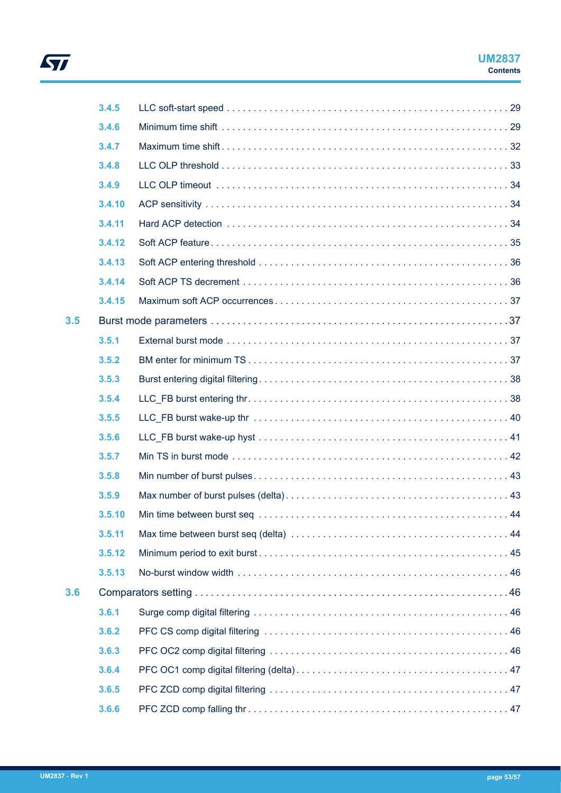

|     | 3.4.5  |  |
|-----|--------|--|
|     | 3.4.6  |  |
|     | 3.4.7  |  |
|     | 3.4.8  |  |
|     | 3.4.9  |  |
|     | 3.4.10 |  |
|     | 3.4.11 |  |
|     | 3.4.12 |  |
|     | 3.4.13 |  |
|     | 3.4.14 |  |
|     | 3.4.15 |  |
| 3.5 |        |  |
|     | 3.5.1  |  |
|     | 3.5.2  |  |
|     | 3.5.3  |  |
|     | 3.5.4  |  |
|     | 3.5.5  |  |
|     | 3.5.6  |  |
|     | 3.5.7  |  |
|     | 3.5.8  |  |
|     | 3.5.9  |  |
|     | 3.5.10 |  |
|     | 3.5.11 |  |
|     | 3.5.12 |  |
|     | 3.5.13 |  |
| 3.6 |        |  |
|     | 3.6.1  |  |
|     | 3.6.2  |  |
|     | 3.6.3  |  |
|     | 3.6.4  |  |
|     | 3.6.5  |  |
|     | 3.6.6  |  |

 $\sqrt{2}$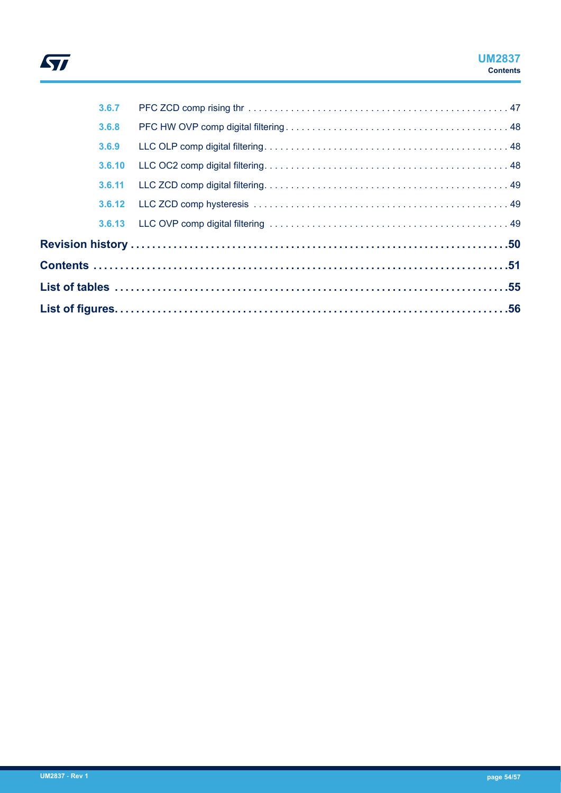

# **UM2837 Contents**

| 3.6.7  |  |
|--------|--|
| 3.6.8  |  |
| 3.6.9  |  |
| 3.6.10 |  |
| 3.6.11 |  |
|        |  |
|        |  |
|        |  |
|        |  |
|        |  |
|        |  |
|        |  |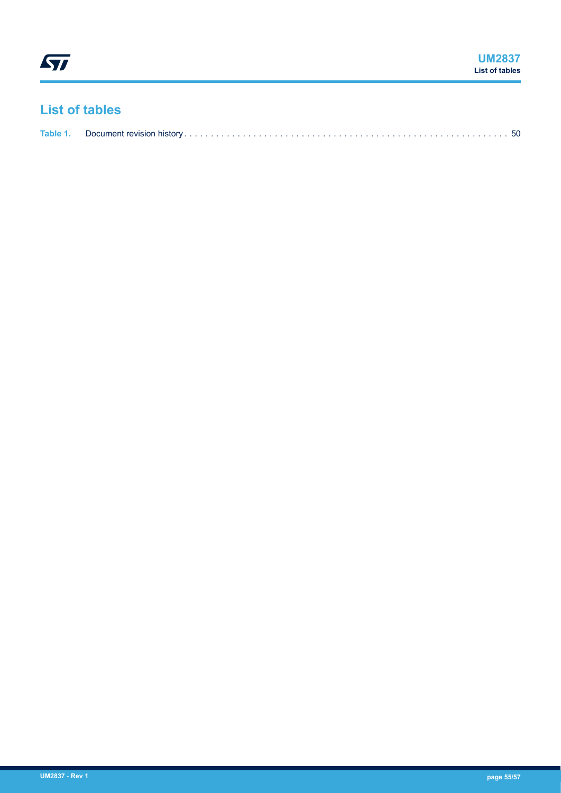# <span id="page-54-0"></span>**List of tables**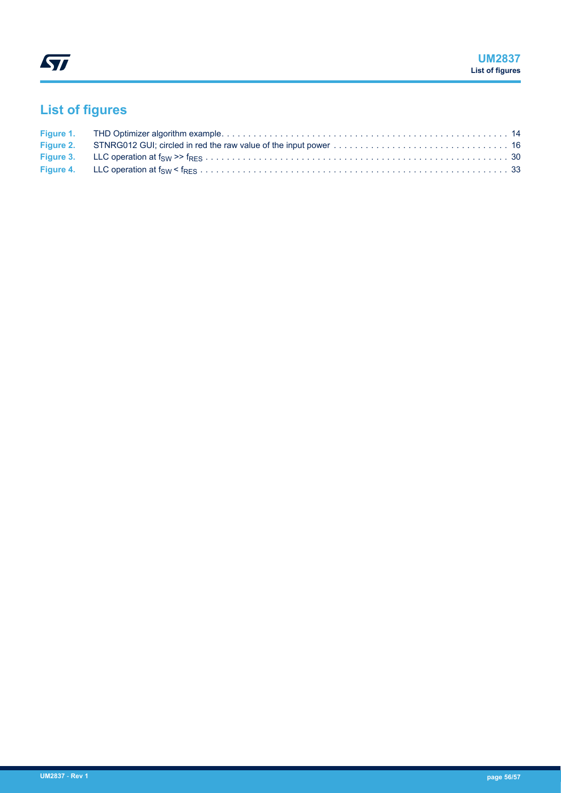# <span id="page-55-0"></span>**List of figures**